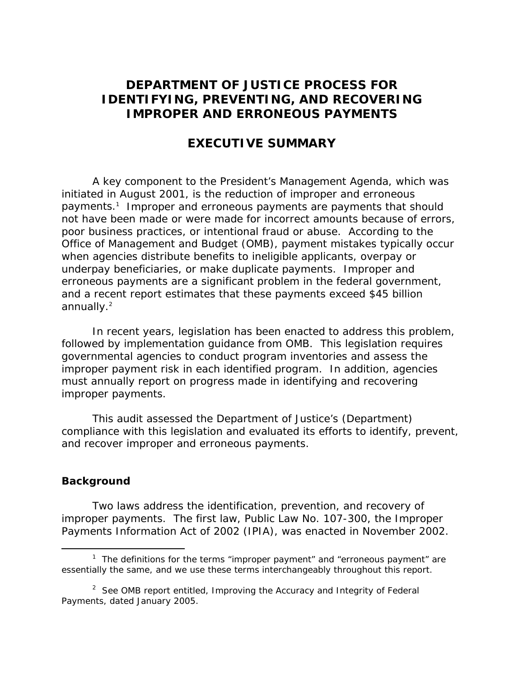### **DEPARTMENT OF JUSTICE PROCESS FOR IDENTIFYING, PREVENTING, AND RECOVERING IMPROPER AND ERRONEOUS PAYMENTS**

#### **EXECUTIVE SUMMARY**

A key component to the President's Management Agenda, which was initiated in August 2001, is the reduction of improper and erroneous payments.<sup>[1](#page-0-0)</sup> Improper and erroneous payments are payments that should not have been made or were made for incorrect amounts because of errors, poor business practices, or intentional fraud or abuse. According to the Office of Management and Budget (OMB), payment mistakes typically occur when agencies distribute benefits to ineligible applicants, overpay or underpay beneficiaries, or make duplicate payments. Improper and erroneous payments are a significant problem in the federal government, and a recent report estimates that these payments exceed \$45 billion annually.<sup>2</sup>

 In recent years, legislation has been enacted to address this problem, followed by implementation guidance from OMB. This legislation requires governmental agencies to conduct program inventories and assess the improper payment risk in each identified program. In addition, agencies must annually report on progress made in identifying and recovering improper payments.

This audit assessed the Department of Justice's (Department) compliance with this legislation and evaluated its efforts to identify, prevent, and recover improper and erroneous payments.

#### **Background**

Two laws address the identification, prevention, and recovery of improper payments. The first law, Public Law No. 107-300, the *Improper Payments Information Act of 2002* (IPIA), was enacted in November 2002.

<span id="page-0-0"></span> $\overline{\phantom{a}}$ <sup>1</sup> The definitions for the terms "improper payment" and "erroneous payment" are essentially the same, and we use these terms interchangeably throughout this report.

<span id="page-0-1"></span> <sup>2</sup> <sup>2</sup> See OMB report entitled, *Improving the Accuracy and Integrity of Federal Payments*, dated January 2005.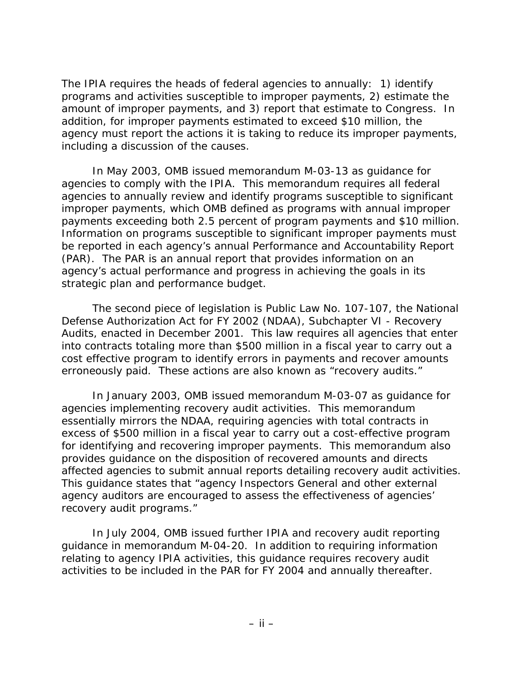The IPIA requires the heads of federal agencies to annually: 1) identify programs and activities susceptible to improper payments, 2) estimate the amount of improper payments, and 3) report that estimate to Congress. In addition, for improper payments estimated to exceed \$10 million, the agency must report the actions it is taking to reduce its improper payments, including a discussion of the causes.

In May 2003, OMB issued memorandum M-03-13 as guidance for agencies to comply with the IPIA. This memorandum requires all federal agencies to annually review and identify programs susceptible to significant improper payments, which OMB defined as programs with annual improper payments exceeding both 2.5 percent of program payments and \$10 million. Information on programs susceptible to significant improper payments must be reported in each agency's annual Performance and Accountability Report (PAR). The PAR is an annual report that provides information on an agency's actual performance and progress in achieving the goals in its strategic plan and performance budget.

The second piece of legislation is Public Law No. 107-107, the *National Defense Authorization Act for FY 2002* (NDAA)*,* Subchapter VI - Recovery Audits, enacted in December 2001. This law requires all agencies that enter into contracts totaling more than \$500 million in a fiscal year to carry out a cost effective program to identify errors in payments and recover amounts erroneously paid. These actions are also known as "recovery audits."

In January 2003, OMB issued memorandum M-03-07 as guidance for agencies implementing recovery audit activities. This memorandum essentially mirrors the NDAA, requiring agencies with total contracts in excess of \$500 million in a fiscal year to carry out a cost-effective program for identifying and recovering improper payments. This memorandum also provides guidance on the disposition of recovered amounts and directs affected agencies to submit annual reports detailing recovery audit activities. This guidance states that "agency Inspectors General and other external agency auditors are encouraged to assess the effectiveness of agencies' recovery audit programs."

In July 2004, OMB issued further IPIA and recovery audit reporting guidance in memorandum M-04-20. In addition to requiring information relating to agency IPIA activities, this guidance requires recovery audit activities to be included in the PAR for FY 2004 and annually thereafter.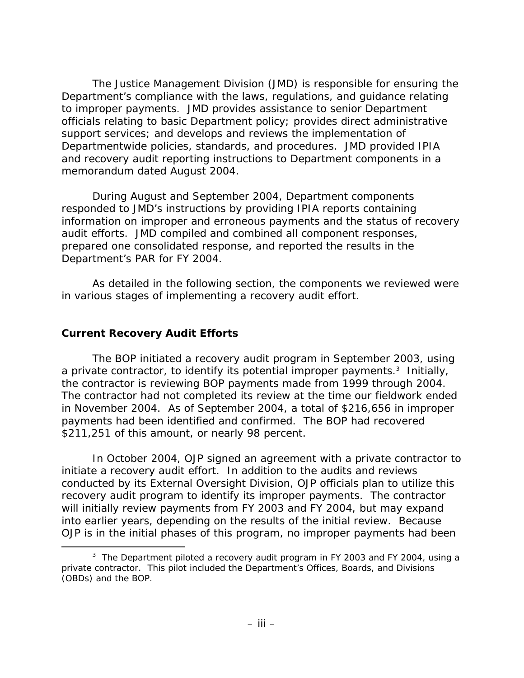The Justice Management Division (JMD) is responsible for ensuring the Department's compliance with the laws, regulations, and guidance relating to improper payments. JMD provides assistance to senior Department officials relating to basic Department policy; provides direct administrative support services; and develops and reviews the implementation of Departmentwide policies, standards, and procedures. JMD provided IPIA and recovery audit reporting instructions to Department components in a memorandum dated August 2004.

During August and September 2004, Department components responded to JMD's instructions by providing IPIA reports containing information on improper and erroneous payments and the status of recovery audit efforts. JMD compiled and combined all component responses, prepared one consolidated response, and reported the results in the Department's PAR for FY 2004.

As detailed in the following section, the components we reviewed were in various stages of implementing a recovery audit effort.

#### **Current Recovery Audit Efforts**

-

The BOP initiated a recovery audit program in September 2003, using aprivate contractor, to identify its potential improper payments.<sup>3</sup> Initially, the contractor is reviewing BOP payments made from 1999 through 2004. The contractor had not completed its review at the time our fieldwork ended in November 2004. As of September 2004, a total of \$216,656 in improper payments had been identified and confirmed. The BOP had recovered \$211,251 of this amount, or nearly 98 percent.

In October 2004, OJP signed an agreement with a private contractor to initiate a recovery audit effort. In addition to the audits and reviews conducted by its External Oversight Division, OJP officials plan to utilize this recovery audit program to identify its improper payments. The contractor will initially review payments from FY 2003 and FY 2004, but may expand into earlier years, depending on the results of the initial review. Because OJP is in the initial phases of this program, no improper payments had been

<span id="page-2-0"></span><sup>&</sup>lt;sup>3</sup> The Department piloted a recovery audit program in FY 2003 and FY 2004, using a private contractor. This pilot included the Department's Offices, Boards, and Divisions (OBDs) and the BOP.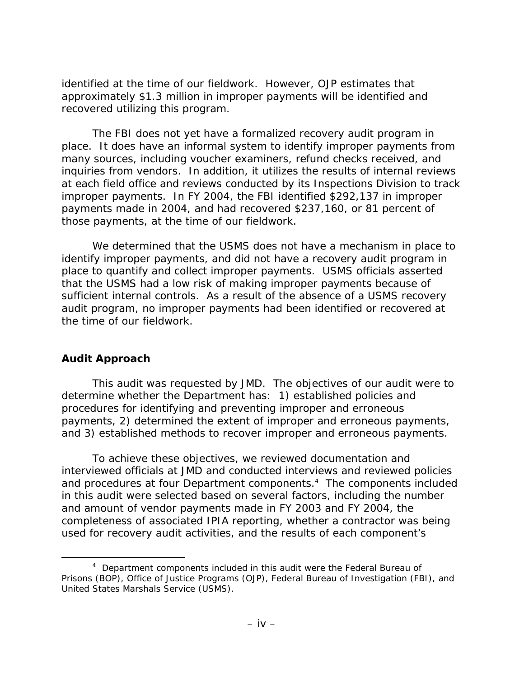identified at the time of our fieldwork. However, OJP estimates that approximately \$1.3 million in improper payments will be identified and recovered utilizing this program.

The FBI does not yet have a formalized recovery audit program in place. It does have an informal system to identify improper payments from many sources, including voucher examiners, refund checks received, and inquiries from vendors. In addition, it utilizes the results of internal reviews at each field office and reviews conducted by its Inspections Division to track improper payments. In FY 2004, the FBI identified \$292,137 in improper payments made in 2004, and had recovered \$237,160, or 81 percent of those payments, at the time of our fieldwork.

We determined that the USMS does not have a mechanism in place to identify improper payments, and did not have a recovery audit program in place to quantify and collect improper payments. USMS officials asserted that the USMS had a low risk of making improper payments because of sufficient internal controls. As a result of the absence of a USMS recovery audit program, no improper payments had been identified or recovered at the time of our fieldwork.

#### **Audit Approach**

-

This audit was requested by JMD. The objectives of our audit were to determine whether the Department has: 1) established policies and procedures for identifying and preventing improper and erroneous payments, 2) determined the extent of improper and erroneous payments, and 3) established methods to recover improper and erroneous payments.

To achieve these objectives, we reviewed documentation and interviewed officials at JMD and conducted interviews and reviewed policies and procedures at four Department components.<sup>4</sup> The components included in this audit were selected based on several factors, including the number and amount of vendor payments made in FY 2003 and FY 2004, the completeness of associated IPIA reporting, whether a contractor was being used for recovery audit activities, and the results of each component's

<span id="page-3-0"></span><sup>&</sup>lt;sup>4</sup> Department components included in this audit were the Federal Bureau of Prisons (BOP), Office of Justice Programs (OJP), Federal Bureau of Investigation (FBI), and United States Marshals Service (USMS).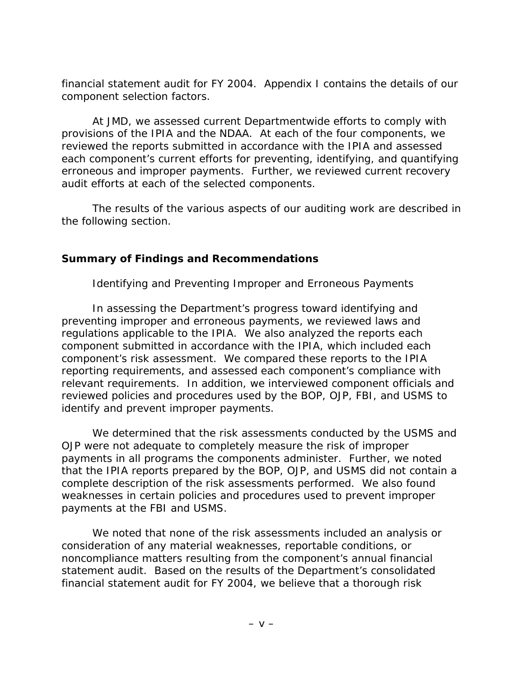financial statement audit for FY 2004. Appendix I contains the details of our component selection factors.

At JMD, we assessed current Departmentwide efforts to comply with provisions of the IPIA and the NDAA. At each of the four components, we reviewed the reports submitted in accordance with the IPIA and assessed each component's current efforts for preventing, identifying, and quantifying erroneous and improper payments. Further, we reviewed current recovery audit efforts at each of the selected components.

 The results of the various aspects of our auditing work are described in the following section.

#### **Summary of Findings and Recommendations**

#### *Identifying and Preventing Improper and Erroneous Payments*

In assessing the Department's progress toward identifying and preventing improper and erroneous payments, we reviewed laws and regulations applicable to the IPIA. We also analyzed the reports each component submitted in accordance with the IPIA, which included each component's risk assessment. We compared these reports to the IPIA reporting requirements, and assessed each component's compliance with relevant requirements. In addition, we interviewed component officials and reviewed policies and procedures used by the BOP, OJP, FBI, and USMS to identify and prevent improper payments.

We determined that the risk assessments conducted by the USMS and OJP were not adequate to completely measure the risk of improper payments in all programs the components administer. Further, we noted that the IPIA reports prepared by the BOP, OJP, and USMS did not contain a complete description of the risk assessments performed. We also found weaknesses in certain policies and procedures used to prevent improper payments at the FBI and USMS.

We noted that none of the risk assessments included an analysis or consideration of any material weaknesses, reportable conditions, or noncompliance matters resulting from the component's annual financial statement audit. Based on the results of the Department's consolidated financial statement audit for FY 2004, we believe that a thorough risk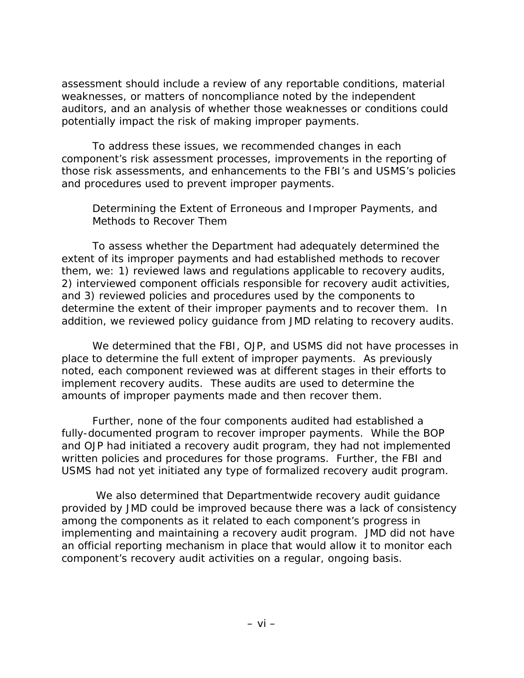assessment should include a review of any reportable conditions, material weaknesses, or matters of noncompliance noted by the independent auditors, and an analysis of whether those weaknesses or conditions could potentially impact the risk of making improper payments.

To address these issues, we recommended changes in each component's risk assessment processes, improvements in the reporting of those risk assessments, and enhancements to the FBI's and USMS's policies and procedures used to prevent improper payments.

#### *Determining the Extent of Erroneous and Improper Payments, and Methods to Recover Them*

To assess whether the Department had adequately determined the extent of its improper payments and had established methods to recover them, we: 1) reviewed laws and regulations applicable to recovery audits, 2) interviewed component officials responsible for recovery audit activities, and 3) reviewed policies and procedures used by the components to determine the extent of their improper payments and to recover them. In addition, we reviewed policy guidance from JMD relating to recovery audits.

We determined that the FBI, OJP, and USMS did not have processes in place to determine the full extent of improper payments. As previously noted, each component reviewed was at different stages in their efforts to implement recovery audits. These audits are used to determine the amounts of improper payments made and then recover them.

Further, none of the four components audited had established a fully-documented program to recover improper payments. While the BOP and OJP had initiated a recovery audit program, they had not implemented written policies and procedures for those programs. Further, the FBI and USMS had not yet initiated any type of formalized recovery audit program.

 We also determined that Departmentwide recovery audit guidance provided by JMD could be improved because there was a lack of consistency among the components as it related to each component's progress in implementing and maintaining a recovery audit program. JMD did not have an official reporting mechanism in place that would allow it to monitor each component's recovery audit activities on a regular, ongoing basis.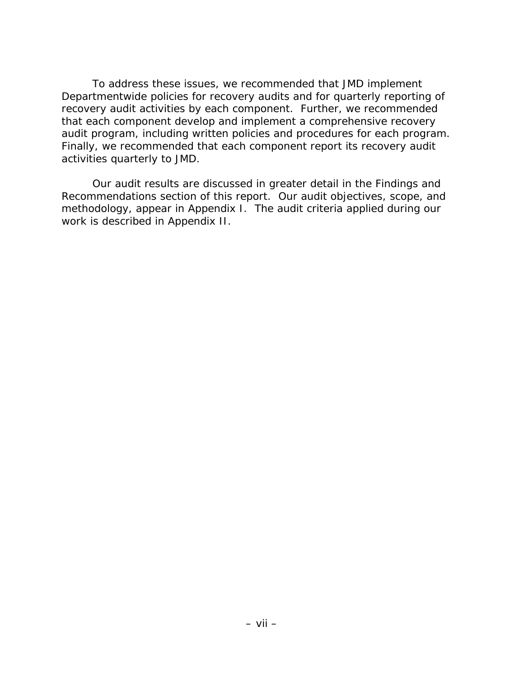To address these issues, we recommended that JMD implement Departmentwide policies for recovery audits and for quarterly reporting of recovery audit activities by each component. Further, we recommended that each component develop and implement a comprehensive recovery audit program, including written policies and procedures for each program. Finally, we recommended that each component report its recovery audit activities quarterly to JMD.

Our audit results are discussed in greater detail in the Findings and Recommendations section of this report. Our audit objectives, scope, and methodology, appear in Appendix I. The audit criteria applied during our work is described in Appendix II.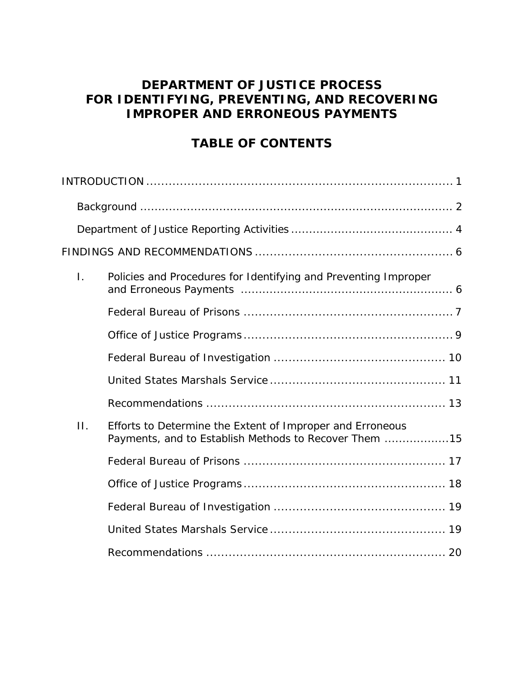# **DEPARTMENT OF JUSTICE PROCESS FOR IDENTIFYING, PREVENTING, AND RECOVERING IMPROPER AND ERRONEOUS PAYMENTS**

# **TABLE OF CONTENTS**

| $\mathbf{L}$ | Policies and Procedures for Identifying and Preventing Improper                                                    |
|--------------|--------------------------------------------------------------------------------------------------------------------|
|              |                                                                                                                    |
|              |                                                                                                                    |
|              |                                                                                                                    |
|              |                                                                                                                    |
|              |                                                                                                                    |
| $\Pi$ .      | Efforts to Determine the Extent of Improper and Erroneous<br>Payments, and to Establish Methods to Recover Them 15 |
|              |                                                                                                                    |
|              |                                                                                                                    |
|              |                                                                                                                    |
|              |                                                                                                                    |
|              |                                                                                                                    |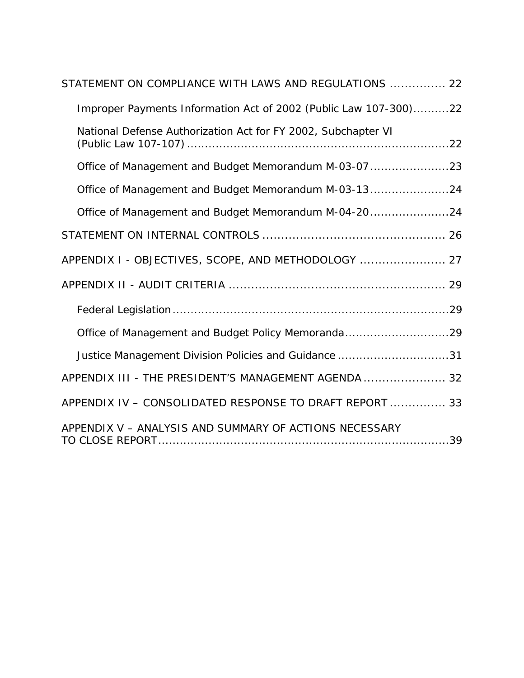| STATEMENT ON COMPLIANCE WITH LAWS AND REGULATIONS  22            |
|------------------------------------------------------------------|
| Improper Payments Information Act of 2002 (Public Law 107-300)22 |
| National Defense Authorization Act for FY 2002, Subchapter VI    |
| Office of Management and Budget Memorandum M-03-07 23            |
| Office of Management and Budget Memorandum M-03-1324             |
| Office of Management and Budget Memorandum M-04-2024             |
|                                                                  |
| APPENDIX I - OBJECTIVES, SCOPE, AND METHODOLOGY  27              |
|                                                                  |
|                                                                  |
| Office of Management and Budget Policy Memoranda29               |
| Justice Management Division Policies and Guidance 31             |
| APPENDIX III - THE PRESIDENT'S MANAGEMENT AGENDA  32             |
| APPENDIX IV - CONSOLIDATED RESPONSE TO DRAFT REPORT  33          |
| APPENDIX V - ANALYSIS AND SUMMARY OF ACTIONS NECESSARY           |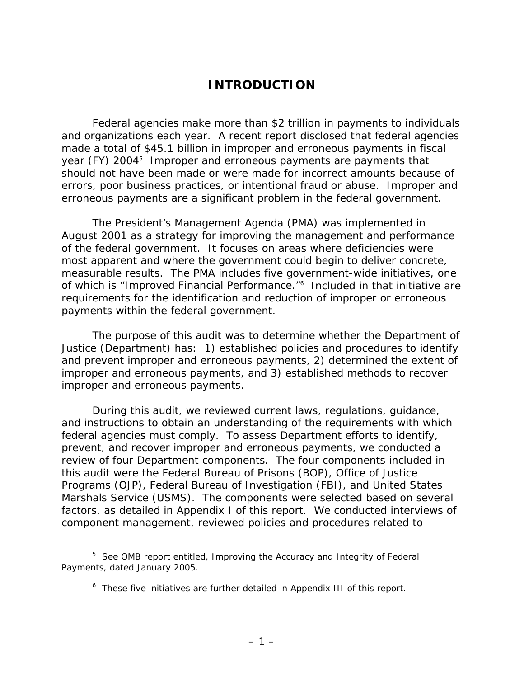### **INTRODUCTION**

<span id="page-9-0"></span>Federal agencies make more than \$2 trillion in payments to individuals and organizations each year. A recent report disclosed that federal agencies made a total of \$45.1 billion in improper and erroneous payments in fiscal year (FY) 2004<sup>[5](#page-9-1)</sup> Improper and erroneous payments are payments that should not have been made or were made for incorrect amounts because of errors, poor business practices, or intentional fraud or abuse. Improper and erroneous payments are a significant problem in the federal government.

The President's Management Agenda (PMA) was implemented in August 2001 as a strategy for improving the management and performance of the federal government. It focuses on areas where deficiencies were most apparent and where the government could begin to deliver concrete, measurable results. The PMA includes five government-wide initiatives, one of which is "Improved Financial Performance."<sup>6</sup> Included in that initiative are requirements for the identification and reduction of improper or erroneous payments within the federal government.

The purpose of this audit was to determine whether the Department of Justice (Department) has: 1) established policies and procedures to identify and prevent improper and erroneous payments, 2) determined the extent of improper and erroneous payments, and 3) established methods to recover improper and erroneous payments.

During this audit, we reviewed current laws, regulations, guidance, and instructions to obtain an understanding of the requirements with which federal agencies must comply. To assess Department efforts to identify, prevent, and recover improper and erroneous payments, we conducted a review of four Department components. The four components included in this audit were the Federal Bureau of Prisons (BOP), Office of Justice Programs (OJP), Federal Bureau of Investigation (FBI), and United States Marshals Service (USMS). The components were selected based on several factors, as detailed in Appendix I of this report. We conducted interviews of component management, reviewed policies and procedures related to

<span id="page-9-1"></span> $\frac{1}{5}$ <sup>5</sup> See OMB report entitled, *Improving the Accuracy and Integrity of Federal Payments*, dated January 2005.

<span id="page-9-2"></span><sup>&</sup>lt;sup>6</sup> These five initiatives are further detailed in Appendix III of this report.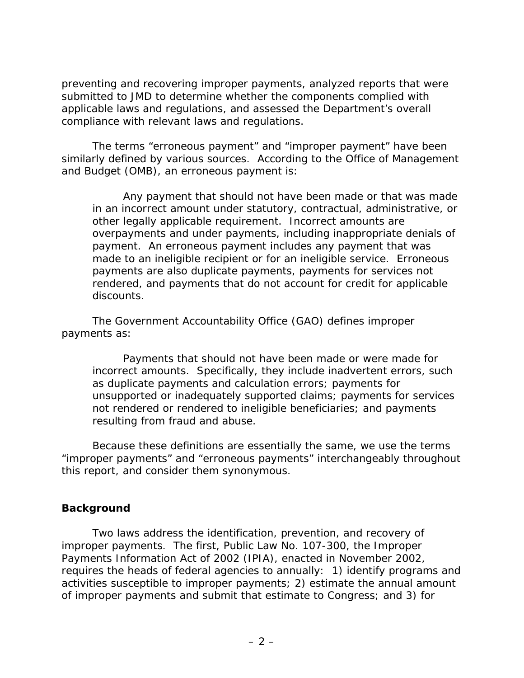<span id="page-10-0"></span>preventing and recovering improper payments, analyzed reports that were submitted to JMD to determine whether the components complied with applicable laws and regulations, and assessed the Department's overall compliance with relevant laws and regulations.

The terms "erroneous payment" and "improper payment" have been similarly defined by various sources. According to the Office of Management and Budget (OMB), an erroneous payment is:

*Any payment that should not have been made or that was made in an incorrect amount under statutory, contractual, administrative, or other legally applicable requirement. Incorrect amounts are overpayments and under payments, including inappropriate denials of payment. An erroneous payment includes any payment that was made to an ineligible recipient or for an ineligible service. Erroneous payments are also duplicate payments, payments for services not rendered, and payments that do not account for credit for applicable discounts.* 

The Government Accountability Office (GAO) defines improper payments as:

*Payments that should not have been made or were made for incorrect amounts. Specifically, they include inadvertent errors, such as duplicate payments and calculation errors; payments for unsupported or inadequately supported claims; payments for services not rendered or rendered to ineligible beneficiaries; and payments resulting from fraud and abuse.* 

Because these definitions are essentially the same, we use the terms "improper payments" and "erroneous payments" interchangeably throughout this report, and consider them synonymous.

#### **Background**

Two laws address the identification, prevention, and recovery of improper payments. The first, Public Law No. 107-300, the *Improper Payments Information Act of 2002* (IPIA), enacted in November 2002, requires the heads of federal agencies to annually: 1) identify programs and activities susceptible to improper payments; 2) estimate the annual amount of improper payments and submit that estimate to Congress; and 3) for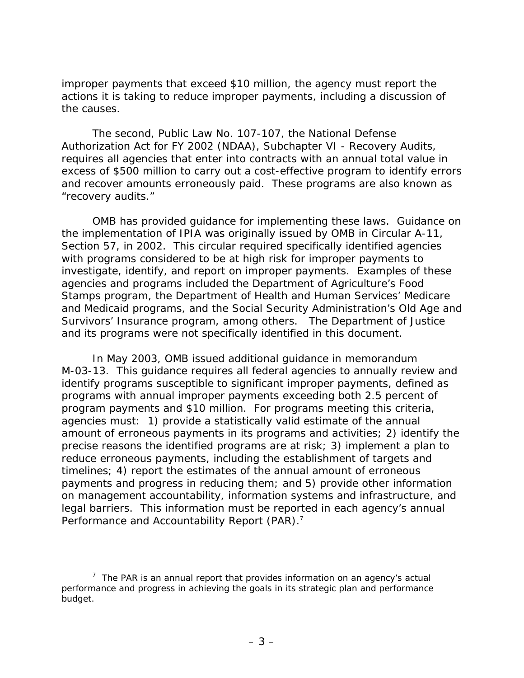improper payments that exceed \$10 million, the agency must report the actions it is taking to reduce improper payments, including a discussion of the causes.

The second, Public Law No. 107-107, the *National Defense Authorization Act for FY 2002* (NDAA), Subchapter VI - Recovery Audits, requires all agencies that enter into contracts with an annual total value in excess of \$500 million to carry out a cost-effective program to identify errors and recover amounts erroneously paid. These programs are also known as "recovery audits."

OMB has provided guidance for implementing these laws. Guidance on the implementation of IPIA was originally issued by OMB in Circular A-11, Section 57, in 2002. This circular required specifically identified agencies with programs considered to be at high risk for improper payments to investigate, identify, and report on improper payments. Examples of these agencies and programs included the Department of Agriculture's Food Stamps program, the Department of Health and Human Services' Medicare and Medicaid programs, and the Social Security Administration's Old Age and Survivors' Insurance program, among others. The Department of Justice and its programs were not specifically identified in this document.

In May 2003, OMB issued additional guidance in memorandum M-03-13. This guidance requires all federal agencies to annually review and identify programs susceptible to significant improper payments, defined as programs with annual improper payments exceeding both 2.5 percent of program payments and \$10 million. For programs meeting this criteria, agencies must: 1) provide a statistically valid estimate of the annual amount of erroneous payments in its programs and activities; 2) identify the precise reasons the identified programs are at risk; 3) implement a plan to reduce erroneous payments, including the establishment of targets and timelines; 4) report the estimates of the annual amount of erroneous payments and progress in reducing them; and 5) provide other information on management accountability, information systems and infrastructure, and legal barriers. This information must be reported in each agency's annual Performance and Accountability Report (PAR).<sup>[7](#page-11-0)</sup>

<span id="page-11-0"></span> <sup>7</sup>  $7$  The PAR is an annual report that provides information on an agency's actual performance and progress in achieving the goals in its strategic plan and performance budget.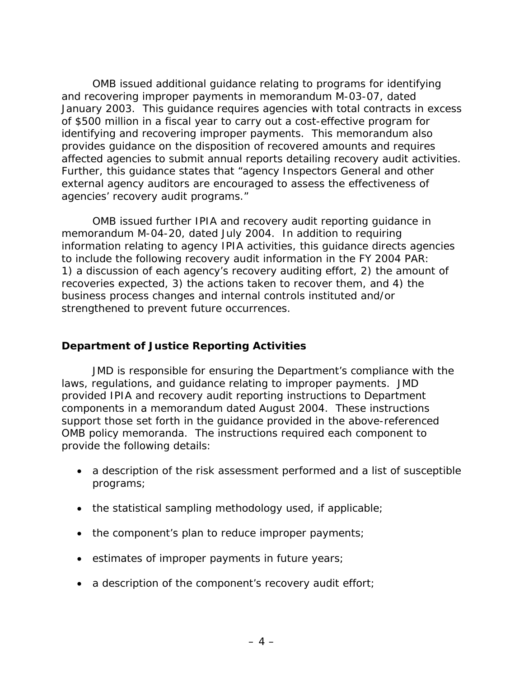<span id="page-12-0"></span>OMB issued additional guidance relating to programs for identifying and recovering improper payments in memorandum M-03-07, dated January 2003. This guidance requires agencies with total contracts in excess of \$500 million in a fiscal year to carry out a cost-effective program for identifying and recovering improper payments. This memorandum also provides guidance on the disposition of recovered amounts and requires affected agencies to submit annual reports detailing recovery audit activities. Further, this guidance states that "agency Inspectors General and other external agency auditors are encouraged to assess the effectiveness of agencies' recovery audit programs."

OMB issued further IPIA and recovery audit reporting guidance in memorandum M-04-20, dated July 2004. In addition to requiring information relating to agency IPIA activities, this guidance directs agencies to include the following recovery audit information in the FY 2004 PAR: 1) a discussion of each agency's recovery auditing effort, 2) the amount of recoveries expected, 3) the actions taken to recover them, and 4) the business process changes and internal controls instituted and/or strengthened to prevent future occurrences.

#### **Department of Justice Reporting Activities**

JMD is responsible for ensuring the Department's compliance with the laws, regulations, and guidance relating to improper payments. JMD provided IPIA and recovery audit reporting instructions to Department components in a memorandum dated August 2004. These instructions support those set forth in the guidance provided in the above-referenced OMB policy memoranda. The instructions required each component to provide the following details:

- a description of the risk assessment performed and a list of susceptible programs;
- the statistical sampling methodology used, if applicable;
- the component's plan to reduce improper payments;
- estimates of improper payments in future years;
- a description of the component's recovery audit effort;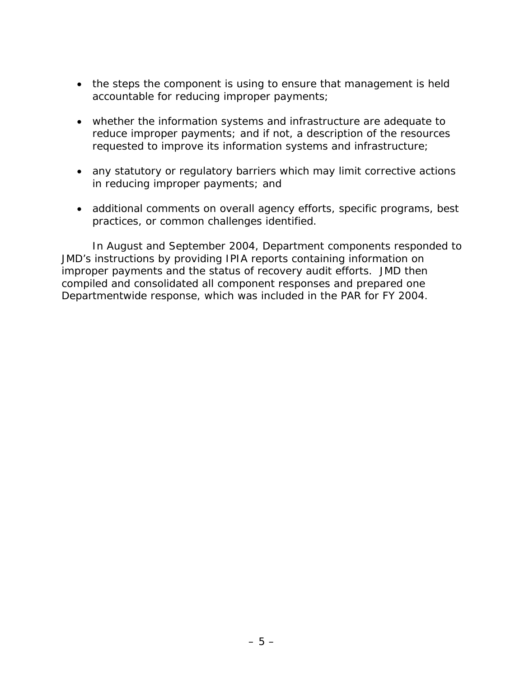- the steps the component is using to ensure that management is held accountable for reducing improper payments;
- whether the information systems and infrastructure are adequate to reduce improper payments; and if not, a description of the resources requested to improve its information systems and infrastructure;
- any statutory or regulatory barriers which may limit corrective actions in reducing improper payments; and
- additional comments on overall agency efforts, specific programs, best practices, or common challenges identified.

In August and September 2004, Department components responded to JMD's instructions by providing IPIA reports containing information on improper payments and the status of recovery audit efforts. JMD then compiled and consolidated all component responses and prepared one Departmentwide response, which was included in the PAR for FY 2004.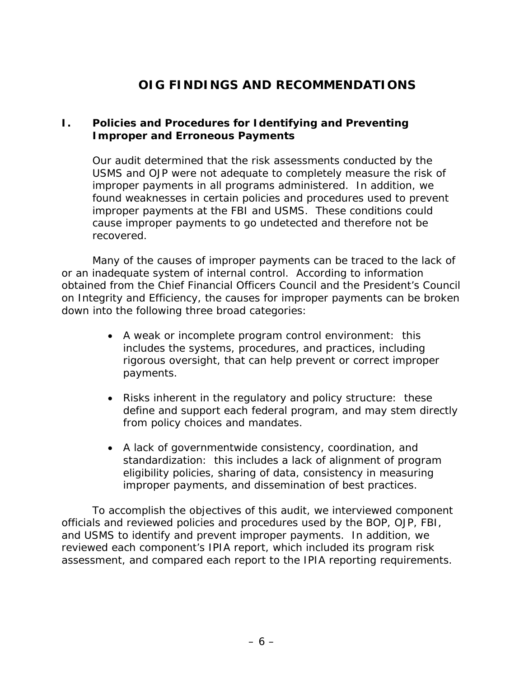# **OIG FINDINGS AND RECOMMENDATIONS**

#### <span id="page-14-0"></span>**I. Policies and Procedures for Identifying and Preventing Improper and Erroneous Payments**

Our audit determined that the risk assessments conducted by the USMS and OJP were not adequate to completely measure the risk of improper payments in all programs administered. In addition, we found weaknesses in certain policies and procedures used to prevent improper payments at the FBI and USMS. These conditions could cause improper payments to go undetected and therefore not be recovered.

Many of the causes of improper payments can be traced to the lack of or an inadequate system of internal control. According to information obtained from the Chief Financial Officers Council and the President's Council on Integrity and Efficiency, the causes for improper payments can be broken down into the following three broad categories:

- *A weak or incomplete program control environment:* this includes the systems, procedures, and practices, including rigorous oversight, that can help prevent or correct improper payments.
- *Risks inherent in the regulatory and policy structure:* these define and support each federal program, and may stem directly from policy choices and mandates.
- *A lack of governmentwide consistency, coordination, and standardization:* this includes a lack of alignment of program eligibility policies, sharing of data, consistency in measuring improper payments, and dissemination of best practices.

To accomplish the objectives of this audit, we interviewed component officials and reviewed policies and procedures used by the BOP, OJP, FBI, and USMS to identify and prevent improper payments. In addition, we reviewed each component's IPIA report, which included its program risk assessment, and compared each report to the IPIA reporting requirements.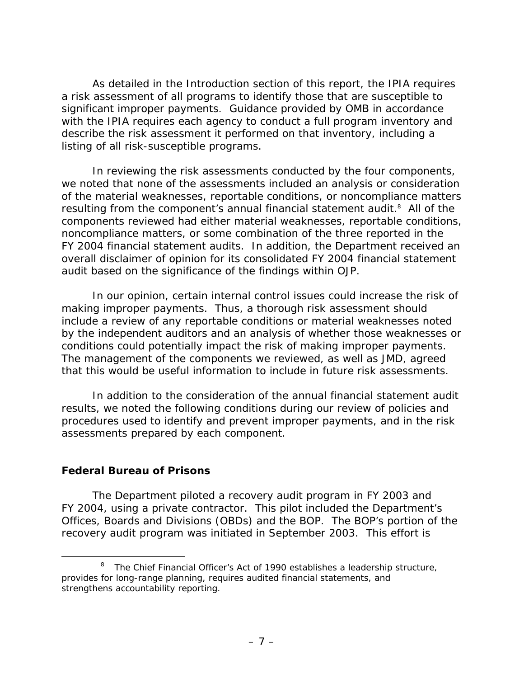<span id="page-15-0"></span>As detailed in the Introduction section of this report, the IPIA requires a risk assessment of all programs to identify those that are susceptible to significant improper payments. Guidance provided by OMB in accordance with the IPIA requires each agency to conduct a full program inventory and describe the risk assessment it performed on that inventory, including a listing of all risk-susceptible programs.

In reviewing the risk assessments conducted by the four components, we noted that none of the assessments included an analysis or consideration of the material weaknesses, reportable conditions, or noncompliance matters resulting from the component's annual financial statement audit.<sup>[8](#page-15-1)</sup> All of the components reviewed had either material weaknesses, reportable conditions, noncompliance matters, or some combination of the three reported in the FY 2004 financial statement audits. In addition, the Department received an overall disclaimer of opinion for its consolidated FY 2004 financial statement audit based on the significance of the findings within OJP.

In our opinion, certain internal control issues could increase the risk of making improper payments. Thus, a thorough risk assessment should include a review of any reportable conditions or material weaknesses noted by the independent auditors and an analysis of whether those weaknesses or conditions could potentially impact the risk of making improper payments. The management of the components we reviewed, as well as JMD, agreed that this would be useful information to include in future risk assessments.

In addition to the consideration of the annual financial statement audit results, we noted the following conditions during our review of policies and procedures used to identify and prevent improper payments, and in the risk assessments prepared by each component.

#### **Federal Bureau of Prisons**

The Department piloted a recovery audit program in FY 2003 and FY 2004, using a private contractor. This pilot included the Department's Offices, Boards and Divisions (OBDs) and the BOP. The BOP's portion of the recovery audit program was initiated in September 2003. This effort is

<span id="page-15-1"></span> $\begin{array}{c|c}\n\hline\n\text{1} & \text{2} & \text{3} \\
\hline\n\end{array}$  $8$  The Chief Financial Officer's Act of 1990 establishes a leadership structure, provides for long-range planning, requires audited financial statements, and strengthens accountability reporting.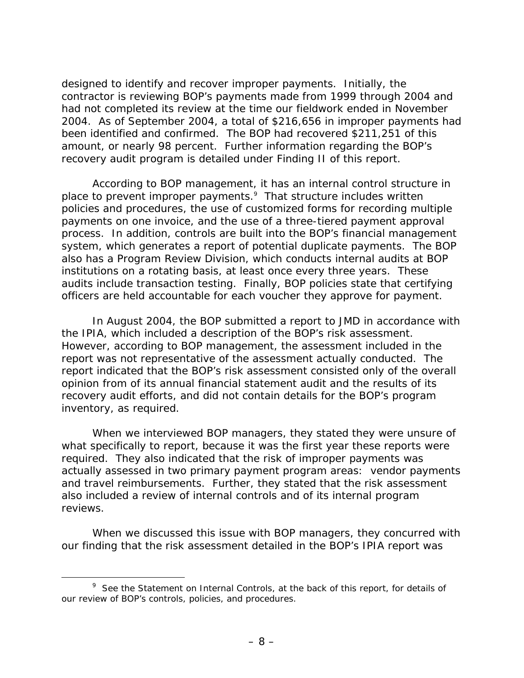designed to identify and recover improper payments. Initially, the contractor is reviewing BOP's payments made from 1999 through 2004 and had not completed its review at the time our fieldwork ended in November 2004. As of September 2004, a total of \$216,656 in improper payments had been identified and confirmed. The BOP had recovered \$211,251 of this amount, or nearly 98 percent. Further information regarding the BOP's recovery audit program is detailed under Finding II of this report.

According to BOP management, it has an internal control structure in place to prevent improper payments.<sup>[9](#page-16-0)</sup> That structure includes written policies and procedures, the use of customized forms for recording multiple payments on one invoice, and the use of a three-tiered payment approval process. In addition, controls are built into the BOP's financial management system, which generates a report of potential duplicate payments. The BOP also has a Program Review Division, which conducts internal audits at BOP institutions on a rotating basis, at least once every three years. These audits include transaction testing. Finally, BOP policies state that certifying officers are held accountable for each voucher they approve for payment.

In August 2004, the BOP submitted a report to JMD in accordance with the IPIA, which included a description of the BOP's risk assessment. However, according to BOP management, the assessment included in the report was not representative of the assessment actually conducted. The report indicated that the BOP's risk assessment consisted only of the overall opinion from of its annual financial statement audit and the results of its recovery audit efforts, and did not contain details for the BOP's program inventory, as required.

When we interviewed BOP managers, they stated they were unsure of what specifically to report, because it was the first year these reports were required. They also indicated that the risk of improper payments was actually assessed in two primary payment program areas: vendor payments and travel reimbursements. Further, they stated that the risk assessment also included a review of internal controls and of its internal program reviews.

When we discussed this issue with BOP managers, they concurred with our finding that the risk assessment detailed in the BOP's IPIA report was

<span id="page-16-0"></span> $\frac{1}{\sqrt{2}}$ <sup>9</sup> See the *Statement on Internal Controls*, at the back of this report, for details of our review of BOP's controls, policies, and procedures.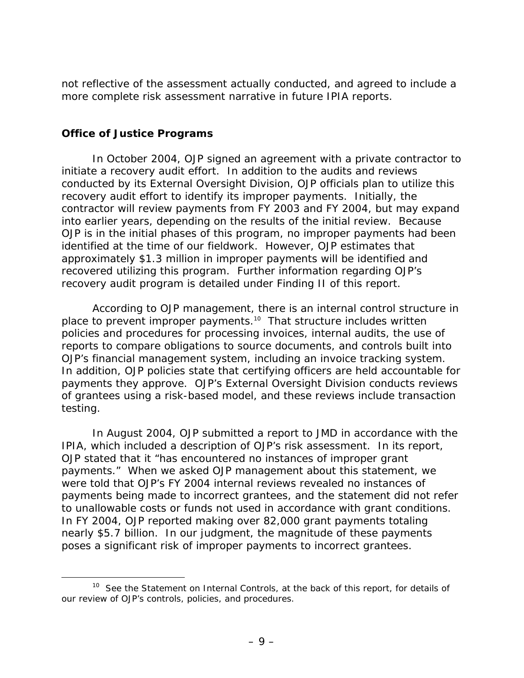<span id="page-17-0"></span>not reflective of the assessment actually conducted, and agreed to include a more complete risk assessment narrative in future IPIA reports.

#### **Office of Justice Programs**

In October 2004, OJP signed an agreement with a private contractor to initiate a recovery audit effort. In addition to the audits and reviews conducted by its External Oversight Division, OJP officials plan to utilize this recovery audit effort to identify its improper payments. Initially, the contractor will review payments from FY 2003 and FY 2004, but may expand into earlier years, depending on the results of the initial review. Because OJP is in the initial phases of this program, no improper payments had been identified at the time of our fieldwork. However, OJP estimates that approximately \$1.3 million in improper payments will be identified and recovered utilizing this program. Further information regarding OJP's recovery audit program is detailed under Finding II of this report.

According to OJP management, there is an internal control structure in place to prevent improper payments.<sup>10</sup> That structure includes written policies and procedures for processing invoices, internal audits, the use of reports to compare obligations to source documents, and controls built into OJP's financial management system, including an invoice tracking system. In addition, OJP policies state that certifying officers are held accountable for payments they approve. OJP's External Oversight Division conducts reviews of grantees using a risk-based model, and these reviews include transaction testing.

In August 2004, OJP submitted a report to JMD in accordance with the IPIA, which included a description of OJP's risk assessment. In its report, OJP stated that it "has encountered no instances of improper grant payments." When we asked OJP management about this statement, we were told that OJP's FY 2004 internal reviews revealed no instances of payments being made to incorrect grantees, and the statement did not refer to unallowable costs or funds not used in accordance with grant conditions. In FY 2004, OJP reported making over 82,000 grant payments totaling nearly \$5.7 billion. In our judgment, the magnitude of these payments poses a significant risk of improper payments to incorrect grantees.

<span id="page-17-1"></span><sup>&</sup>lt;sup>10</sup> See the *Statement on Internal Controls*, at the back of this report, for details of our review of OJP's controls, policies, and procedures.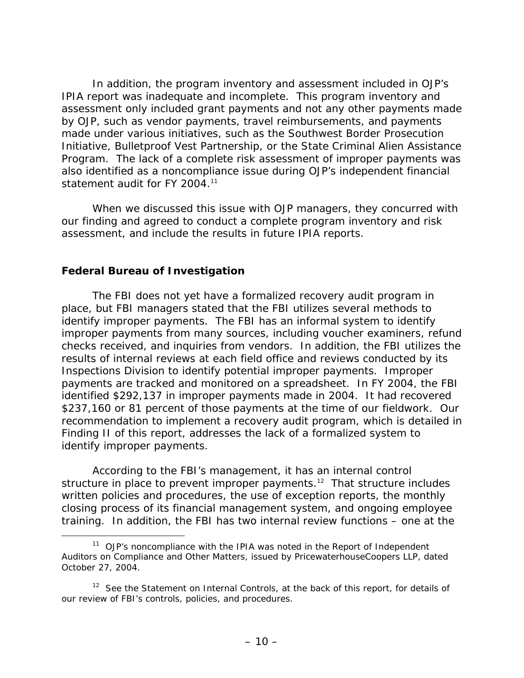<span id="page-18-0"></span>In addition, the program inventory and assessment included in OJP's IPIA report was inadequate and incomplete. This program inventory and assessment only included grant payments and not any other payments made by OJP, such as vendor payments, travel reimbursements, and payments made under various initiatives, such as the Southwest Border Prosecution Initiative, Bulletproof Vest Partnership, or the State Criminal Alien Assistance Program. The lack of a complete risk assessment of improper payments was also identified as a noncompliance issue during OJP's independent financial statement audit for FY 2004.<sup>11</sup>

When we discussed this issue with OJP managers, they concurred with our finding and agreed to conduct a complete program inventory and risk assessment, and include the results in future IPIA reports.

#### **Federal Bureau of Investigation**

The FBI does not yet have a formalized recovery audit program in place, but FBI managers stated that the FBI utilizes several methods to identify improper payments. The FBI has an informal system to identify improper payments from many sources, including voucher examiners, refund checks received, and inquiries from vendors. In addition, the FBI utilizes the results of internal reviews at each field office and reviews conducted by its Inspections Division to identify potential improper payments. Improper payments are tracked and monitored on a spreadsheet. In FY 2004, the FBI identified \$292,137 in improper payments made in 2004. It had recovered \$237,160 or 81 percent of those payments at the time of our fieldwork. Our recommendation to implement a recovery audit program, which is detailed in Finding II of this report, addresses the lack of a formalized system to identify improper payments.

According to the FBI's management, it has an internal control structure in place to prevent improper payments.<sup>12</sup> That structure includes written policies and procedures, the use of exception reports, the monthly closing process of its financial management system, and ongoing employee training. In addition, the FBI has two internal review functions – one at the

<span id="page-18-1"></span> <sup>11</sup> OJP's noncompliance with the IPIA was noted in the *Report of Independent Auditors on Compliance and Other Matters*, issued by PricewaterhouseCoopers LLP, dated October 27, 2004.

<span id="page-18-2"></span><sup>&</sup>lt;sup>12</sup> See the *Statement on Internal Controls*, at the back of this report, for details of our review of FBI's controls, policies, and procedures.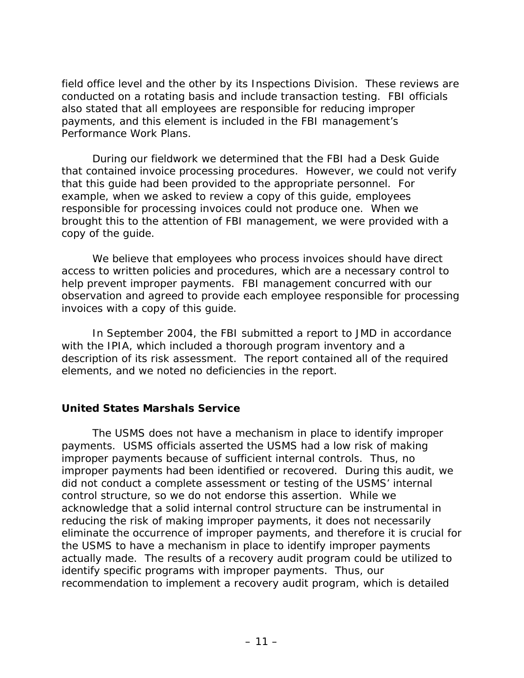<span id="page-19-0"></span>field office level and the other by its Inspections Division. These reviews are conducted on a rotating basis and include transaction testing. FBI officials also stated that all employees are responsible for reducing improper payments, and this element is included in the FBI management's Performance Work Plans.

During our fieldwork we determined that the FBI had a Desk Guide that contained invoice processing procedures. However, we could not verify that this guide had been provided to the appropriate personnel. For example, when we asked to review a copy of this guide, employees responsible for processing invoices could not produce one. When we brought this to the attention of FBI management, we were provided with a copy of the guide.

We believe that employees who process invoices should have direct access to written policies and procedures, which are a necessary control to help prevent improper payments. FBI management concurred with our observation and agreed to provide each employee responsible for processing invoices with a copy of this guide.

In September 2004, the FBI submitted a report to JMD in accordance with the IPIA, which included a thorough program inventory and a description of its risk assessment. The report contained all of the required elements, and we noted no deficiencies in the report.

#### **United States Marshals Service**

The USMS does not have a mechanism in place to identify improper payments. USMS officials asserted the USMS had a low risk of making improper payments because of sufficient internal controls. Thus, no improper payments had been identified or recovered. During this audit, we did not conduct a complete assessment or testing of the USMS' internal control structure, so we do not endorse this assertion. While we acknowledge that a solid internal control structure can be instrumental in reducing the risk of making improper payments, it does not necessarily eliminate the occurrence of improper payments, and therefore it is crucial for the USMS to have a mechanism in place to identify improper payments actually made. The results of a recovery audit program could be utilized to identify specific programs with improper payments. Thus, our recommendation to implement a recovery audit program, which is detailed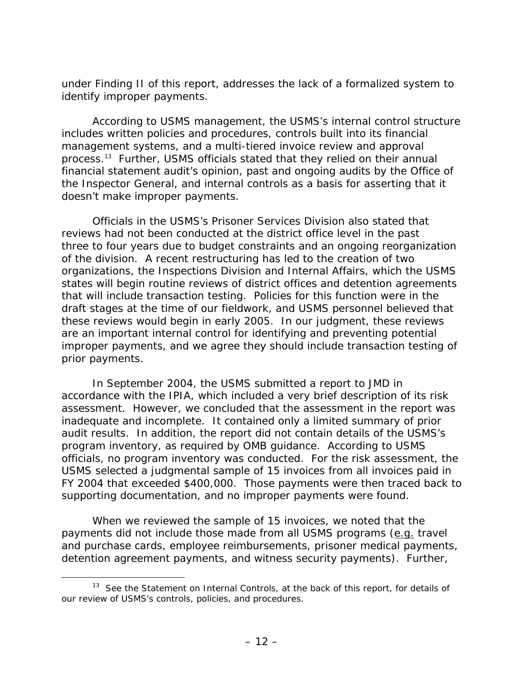under Finding II of this report, addresses the lack of a formalized system to identify improper payments.

According to USMS management, the USMS's internal control structure includes written policies and procedures, controls built into its financial management systems, and a multi-tiered invoice review and approval process[.13](#page-20-0) Further, USMS officials stated that they relied on their annual financial statement audit's opinion, past and ongoing audits by the Office of the Inspector General, and internal controls as a basis for asserting that it doesn't make improper payments.

Officials in the USMS's Prisoner Services Division also stated that reviews had not been conducted at the district office level in the past three to four years due to budget constraints and an ongoing reorganization of the division. A recent restructuring has led to the creation of two organizations, the Inspections Division and Internal Affairs, which the USMS states will begin routine reviews of district offices and detention agreements that will include transaction testing. Policies for this function were in the draft stages at the time of our fieldwork, and USMS personnel believed that these reviews would begin in early 2005. In our judgment, these reviews are an important internal control for identifying and preventing potential improper payments, and we agree they should include transaction testing of prior payments.

In September 2004, the USMS submitted a report to JMD in accordance with the IPIA, which included a very brief description of its risk assessment. However, we concluded that the assessment in the report was inadequate and incomplete. It contained only a limited summary of prior audit results. In addition, the report did not contain details of the USMS's program inventory, as required by OMB guidance. According to USMS officials, no program inventory was conducted. For the risk assessment, the USMS selected a judgmental sample of 15 invoices from all invoices paid in FY 2004 that exceeded \$400,000. Those payments were then traced back to supporting documentation, and no improper payments were found.

When we reviewed the sample of 15 invoices, we noted that the payments did not include those made from all USMS programs (e.g. travel and purchase cards, employee reimbursements, prisoner medical payments, detention agreement payments, and witness security payments). Further,

<span id="page-20-0"></span><sup>&</sup>lt;sup>13</sup> See the *Statement on Internal Controls*, at the back of this report, for details of our review of USMS's controls, policies, and procedures.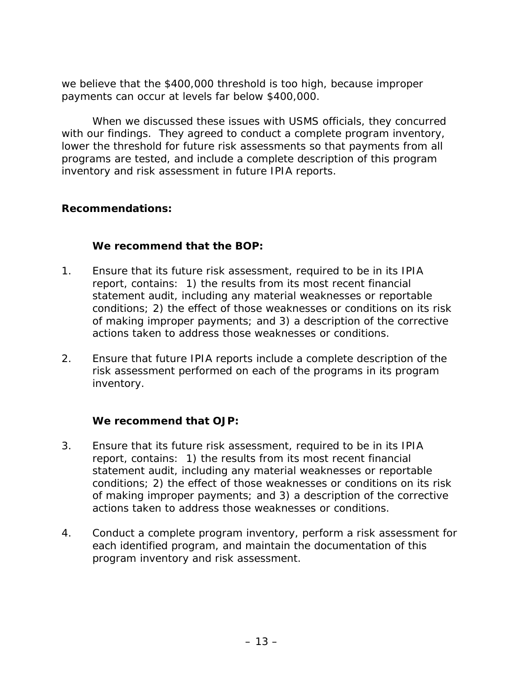<span id="page-21-0"></span>we believe that the \$400,000 threshold is too high, because improper payments can occur at levels far below \$400,000.

When we discussed these issues with USMS officials, they concurred with our findings. They agreed to conduct a complete program inventory, lower the threshold for future risk assessments so that payments from all programs are tested, and include a complete description of this program inventory and risk assessment in future IPIA reports.

#### **Recommendations:**

#### **We recommend that the BOP:**

- 1. Ensure that its future risk assessment, required to be in its IPIA report, contains: 1) the results from its most recent financial statement audit, including any material weaknesses or reportable conditions; 2) the effect of those weaknesses or conditions on its risk of making improper payments; and 3) a description of the corrective actions taken to address those weaknesses or conditions.
- 2. Ensure that future IPIA reports include a complete description of the risk assessment performed on each of the programs in its program inventory.

#### **We recommend that OJP:**

- 3. Ensure that its future risk assessment, required to be in its IPIA report, contains: 1) the results from its most recent financial statement audit, including any material weaknesses or reportable conditions; 2) the effect of those weaknesses or conditions on its risk of making improper payments; and 3) a description of the corrective actions taken to address those weaknesses or conditions.
- 4. Conduct a complete program inventory, perform a risk assessment for each identified program, and maintain the documentation of this program inventory and risk assessment.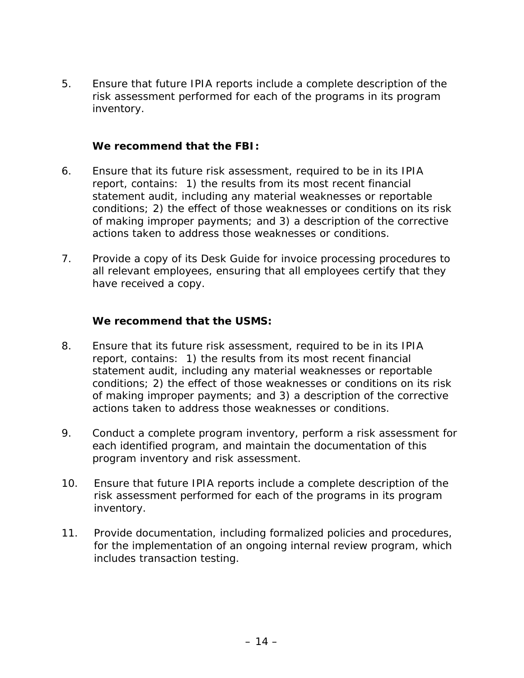5. Ensure that future IPIA reports include a complete description of the risk assessment performed for each of the programs in its program inventory.

#### **We recommend that the FBI:**

- 6. Ensure that its future risk assessment, required to be in its IPIA report, contains: 1) the results from its most recent financial statement audit, including any material weaknesses or reportable conditions; 2) the effect of those weaknesses or conditions on its risk of making improper payments; and 3) a description of the corrective actions taken to address those weaknesses or conditions.
- 7. Provide a copy of its *Desk Guide* for invoice processing procedures to all relevant employees, ensuring that all employees certify that they have received a copy.

#### **We recommend that the USMS:**

- 8. Ensure that its future risk assessment, required to be in its IPIA report, contains: 1) the results from its most recent financial statement audit, including any material weaknesses or reportable conditions; 2) the effect of those weaknesses or conditions on its risk of making improper payments; and 3) a description of the corrective actions taken to address those weaknesses or conditions.
- 9. Conduct a complete program inventory, perform a risk assessment for each identified program, and maintain the documentation of this program inventory and risk assessment.
- 10. Ensure that future IPIA reports include a complete description of the risk assessment performed for each of the programs in its program inventory.
- 11. Provide documentation, including formalized policies and procedures, for the implementation of an ongoing internal review program, which includes transaction testing.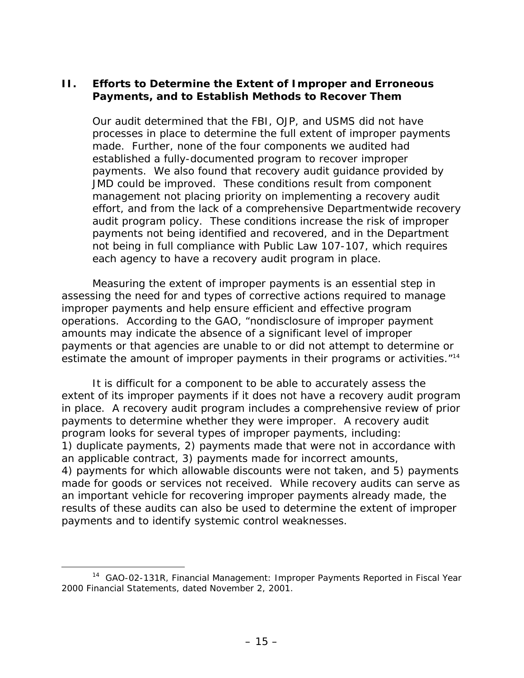#### <span id="page-23-0"></span>**II. Efforts to Determine the Extent of Improper and Erroneous Payments, and to Establish Methods to Recover Them**

Our audit determined that the FBI, OJP, and USMS did not have processes in place to determine the full extent of improper payments made. Further, none of the four components we audited had established a fully-documented program to recover improper payments. We also found that recovery audit guidance provided by JMD could be improved. These conditions result from component management not placing priority on implementing a recovery audit effort, and from the lack of a comprehensive Departmentwide recovery audit program policy. These conditions increase the risk of improper payments not being identified and recovered, and in the Department not being in full compliance with Public Law 107-107, which requires each agency to have a recovery audit program in place.

Measuring the extent of improper payments is an essential step in assessing the need for and types of corrective actions required to manage improper payments and help ensure efficient and effective program operations. According to the GAO, "nondisclosure of improper payment amounts may indicate the absence of a significant level of improper payments or that agencies are unable to or did not attempt to determine or estimate the amount of improper payments in their programs or activities.<sup>"14</sup>

It is difficult for a component to be able to accurately assess the extent of its improper payments if it does not have a recovery audit program in place. A recovery audit program includes a comprehensive review of prior payments to determine whether they were improper. A recovery audit program looks for several types of improper payments, including: 1) duplicate payments, 2) payments made that were not in accordance with an applicable contract, 3) payments made for incorrect amounts, 4) payments for which allowable discounts were not taken, and 5) payments made for goods or services not received. While recovery audits can serve as an important vehicle for recovering improper payments already made, the results of these audits can also be used to determine the extent of improper payments and to identify systemic control weaknesses.

<span id="page-23-1"></span> <sup>14</sup> GAO-02-131R, *Financial Management: Improper Payments Reported in Fiscal Year 2000 Financial Statements*, dated November 2, 2001.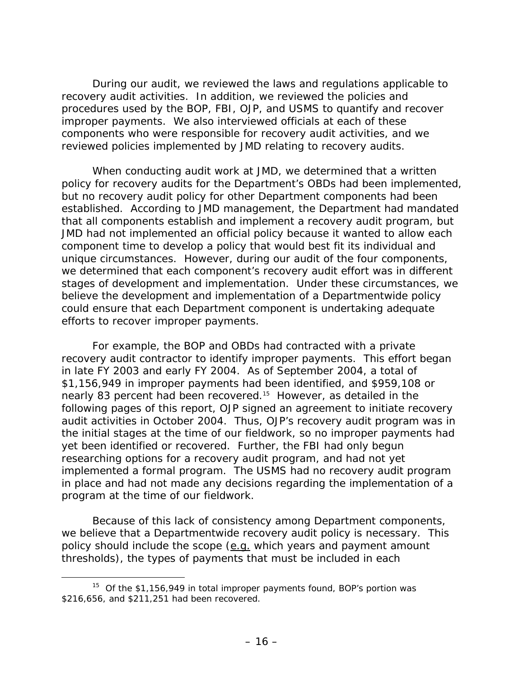During our audit, we reviewed the laws and regulations applicable to recovery audit activities. In addition, we reviewed the policies and procedures used by the BOP, FBI, OJP, and USMS to quantify and recover improper payments. We also interviewed officials at each of these components who were responsible for recovery audit activities, and we reviewed policies implemented by JMD relating to recovery audits.

When conducting audit work at JMD, we determined that a written policy for recovery audits for the Department's OBDs had been implemented, but no recovery audit policy for other Department components had been established. According to JMD management, the Department had mandated that all components establish and implement a recovery audit program, but JMD had not implemented an official policy because it wanted to allow each component time to develop a policy that would best fit its individual and unique circumstances. However, during our audit of the four components, we determined that each component's recovery audit effort was in different stages of development and implementation. Under these circumstances, we believe the development and implementation of a Departmentwide policy could ensure that each Department component is undertaking adequate efforts to recover improper payments.

For example, the BOP and OBDs had contracted with a private recovery audit contractor to identify improper payments. This effort began in late FY 2003 and early FY 2004. As of September 2004, a total of \$1,156,949 in improper payments had been identified, and \$959,108 or nearly 83 percent had been recovered.<sup>15</sup> However, as detailed in the following pages of this report, OJP signed an agreement to initiate recovery audit activities in October 2004. Thus, OJP's recovery audit program was in the initial stages at the time of our fieldwork, so no improper payments had yet been identified or recovered. Further, the FBI had only begun researching options for a recovery audit program, and had not yet implemented a formal program. The USMS had no recovery audit program in place and had not made any decisions regarding the implementation of a program at the time of our fieldwork.

Because of this lack of consistency among Department components, we believe that a Departmentwide recovery audit policy is necessary. This policy should include the scope (e.g. which years and payment amount thresholds), the types of payments that must be included in each

<span id="page-24-0"></span><sup>&</sup>lt;sup>15</sup> Of the \$1,156,949 in total improper payments found, BOP's portion was \$216,656, and \$211,251 had been recovered.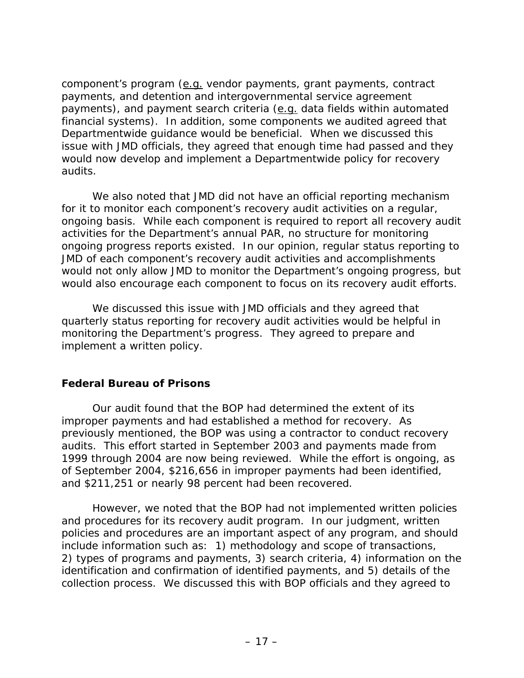<span id="page-25-0"></span>component's program (e.g. vendor payments, grant payments, contract payments, and detention and intergovernmental service agreement payments), and payment search criteria (e.g. data fields within automated financial systems). In addition, some components we audited agreed that Departmentwide guidance would be beneficial. When we discussed this issue with JMD officials, they agreed that enough time had passed and they would now develop and implement a Departmentwide policy for recovery audits.

We also noted that JMD did not have an official reporting mechanism for it to monitor each component's recovery audit activities on a regular, ongoing basis. While each component is required to report all recovery audit activities for the Department's annual PAR, no structure for monitoring ongoing progress reports existed. In our opinion, regular status reporting to JMD of each component's recovery audit activities and accomplishments would not only allow JMD to monitor the Department's ongoing progress, but would also encourage each component to focus on its recovery audit efforts.

We discussed this issue with JMD officials and they agreed that quarterly status reporting for recovery audit activities would be helpful in monitoring the Department's progress. They agreed to prepare and implement a written policy.

#### **Federal Bureau of Prisons**

Our audit found that the BOP had determined the extent of its improper payments and had established a method for recovery. As previously mentioned, the BOP was using a contractor to conduct recovery audits. This effort started in September 2003 and payments made from 1999 through 2004 are now being reviewed. While the effort is ongoing, as of September 2004, \$216,656 in improper payments had been identified, and \$211,251 or nearly 98 percent had been recovered.

However, we noted that the BOP had not implemented written policies and procedures for its recovery audit program. In our judgment, written policies and procedures are an important aspect of any program, and should include information such as: 1) methodology and scope of transactions, 2) types of programs and payments, 3) search criteria, 4) information on the identification and confirmation of identified payments, and 5) details of the collection process. We discussed this with BOP officials and they agreed to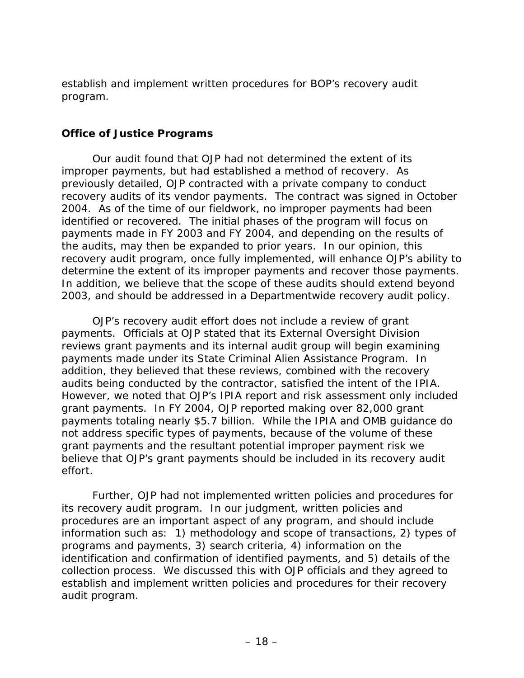<span id="page-26-0"></span>establish and implement written procedures for BOP's recovery audit program.

#### **Office of Justice Programs**

Our audit found that OJP had not determined the extent of its improper payments, but had established a method of recovery. As previously detailed, OJP contracted with a private company to conduct recovery audits of its vendor payments. The contract was signed in October 2004. As of the time of our fieldwork, no improper payments had been identified or recovered. The initial phases of the program will focus on payments made in FY 2003 and FY 2004, and depending on the results of the audits, may then be expanded to prior years. In our opinion, this recovery audit program, once fully implemented, will enhance OJP's ability to determine the extent of its improper payments and recover those payments. In addition, we believe that the scope of these audits should extend beyond 2003, and should be addressed in a Departmentwide recovery audit policy.

OJP's recovery audit effort does not include a review of grant payments. Officials at OJP stated that its External Oversight Division reviews grant payments and its internal audit group will begin examining payments made under its State Criminal Alien Assistance Program. In addition, they believed that these reviews, combined with the recovery audits being conducted by the contractor, satisfied the intent of the IPIA. However, we noted that OJP's IPIA report and risk assessment only included grant payments. In FY 2004, OJP reported making over 82,000 grant payments totaling nearly \$5.7 billion. While the IPIA and OMB guidance do not address specific types of payments, because of the volume of these grant payments and the resultant potential improper payment risk we believe that OJP's grant payments should be included in its recovery audit effort.

Further, OJP had not implemented written policies and procedures for its recovery audit program. In our judgment, written policies and procedures are an important aspect of any program, and should include information such as: 1) methodology and scope of transactions, 2) types of programs and payments, 3) search criteria, 4) information on the identification and confirmation of identified payments, and 5) details of the collection process. We discussed this with OJP officials and they agreed to establish and implement written policies and procedures for their recovery audit program.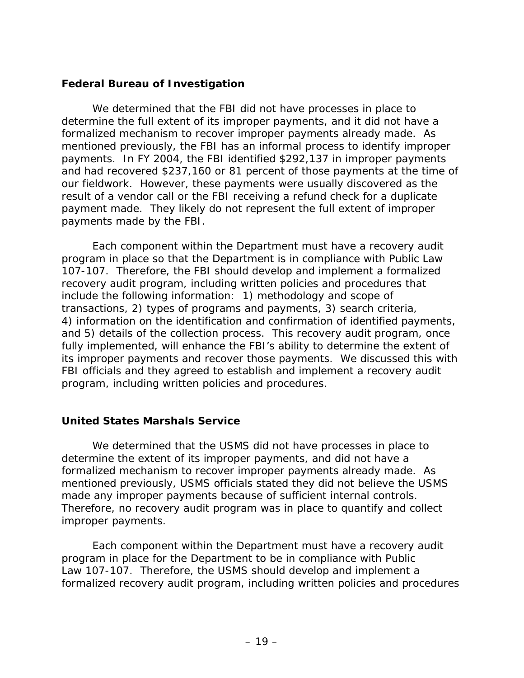#### <span id="page-27-0"></span>**Federal Bureau of Investigation**

We determined that the FBI did not have processes in place to determine the full extent of its improper payments, and it did not have a formalized mechanism to recover improper payments already made. As mentioned previously, the FBI has an informal process to identify improper payments. In FY 2004, the FBI identified \$292,137 in improper payments and had recovered \$237,160 or 81 percent of those payments at the time of our fieldwork. However, these payments were usually discovered as the result of a vendor call or the FBI receiving a refund check for a duplicate payment made. They likely do not represent the full extent of improper payments made by the FBI.

Each component within the Department must have a recovery audit program in place so that the Department is in compliance with Public Law 107-107. Therefore, the FBI should develop and implement a formalized recovery audit program, including written policies and procedures that include the following information: 1) methodology and scope of transactions, 2) types of programs and payments, 3) search criteria, 4) information on the identification and confirmation of identified payments, and 5) details of the collection process. This recovery audit program, once fully implemented, will enhance the FBI's ability to determine the extent of its improper payments and recover those payments. We discussed this with FBI officials and they agreed to establish and implement a recovery audit program, including written policies and procedures.

#### **United States Marshals Service**

We determined that the USMS did not have processes in place to determine the extent of its improper payments, and did not have a formalized mechanism to recover improper payments already made. As mentioned previously, USMS officials stated they did not believe the USMS made any improper payments because of sufficient internal controls. Therefore, no recovery audit program was in place to quantify and collect improper payments.

Each component within the Department must have a recovery audit program in place for the Department to be in compliance with Public Law 107-107. Therefore, the USMS should develop and implement a formalized recovery audit program, including written policies and procedures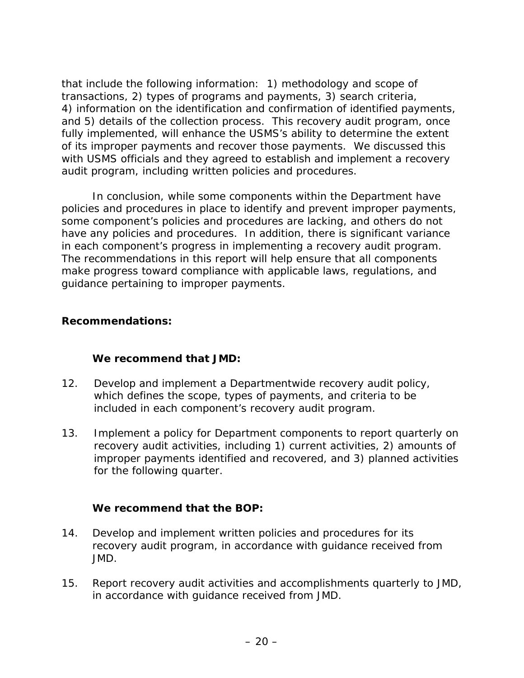<span id="page-28-0"></span>that include the following information: 1) methodology and scope of transactions, 2) types of programs and payments, 3) search criteria, 4) information on the identification and confirmation of identified payments, and 5) details of the collection process. This recovery audit program, once fully implemented, will enhance the USMS's ability to determine the extent of its improper payments and recover those payments. We discussed this with USMS officials and they agreed to establish and implement a recovery audit program, including written policies and procedures.

In conclusion, while some components within the Department have policies and procedures in place to identify and prevent improper payments, some component's policies and procedures are lacking, and others do not have any policies and procedures. In addition, there is significant variance in each component's progress in implementing a recovery audit program. The recommendations in this report will help ensure that all components make progress toward compliance with applicable laws, regulations, and guidance pertaining to improper payments.

#### **Recommendations:**

#### **We recommend that JMD:**

- 12. Develop and implement a Departmentwide recovery audit policy, which defines the scope, types of payments, and criteria to be included in each component's recovery audit program.
- 13. Implement a policy for Department components to report quarterly on recovery audit activities, including 1) current activities, 2) amounts of improper payments identified and recovered, and 3) planned activities for the following quarter.

#### **We recommend that the BOP:**

- 14. Develop and implement written policies and procedures for its recovery audit program, in accordance with guidance received from JMD.
- 15. Report recovery audit activities and accomplishments quarterly to JMD, in accordance with guidance received from JMD.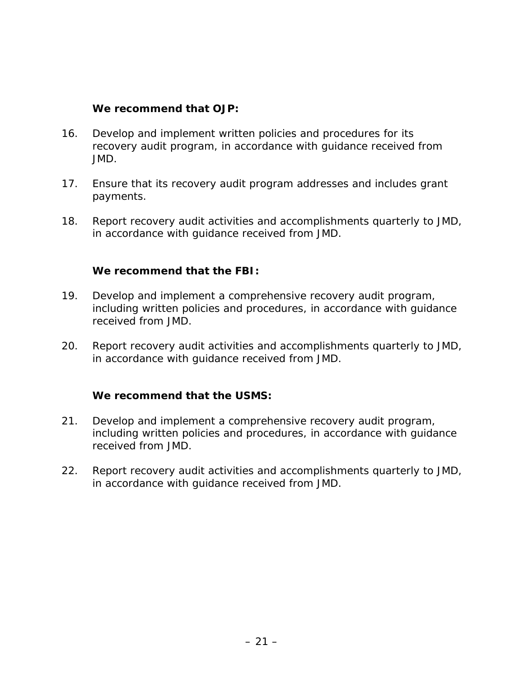#### **We recommend that OJP:**

- 16. Develop and implement written policies and procedures for its recovery audit program, in accordance with guidance received from JMD.
- 17. Ensure that its recovery audit program addresses and includes grant payments.
- 18. Report recovery audit activities and accomplishments quarterly to JMD, in accordance with guidance received from JMD.

#### **We recommend that the FBI:**

- 19. Develop and implement a comprehensive recovery audit program, including written policies and procedures, in accordance with guidance received from JMD.
- 20. Report recovery audit activities and accomplishments quarterly to JMD, in accordance with guidance received from JMD.

#### **We recommend that the USMS:**

- 21. Develop and implement a comprehensive recovery audit program, including written policies and procedures, in accordance with guidance received from JMD.
- 22. Report recovery audit activities and accomplishments quarterly to JMD, in accordance with guidance received from JMD.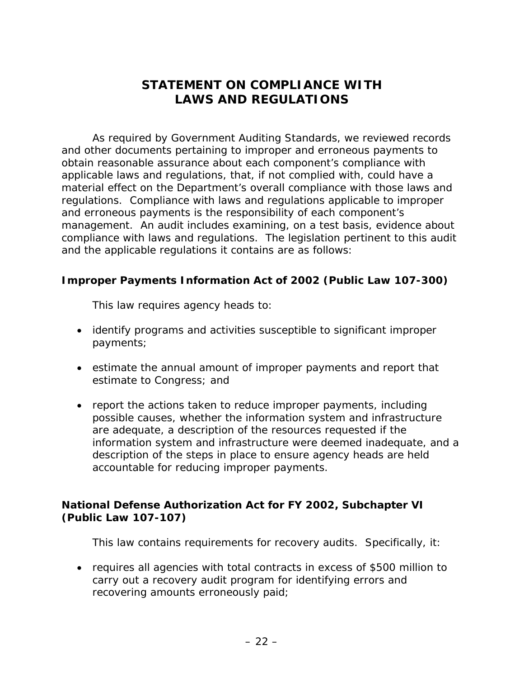# **STATEMENT ON COMPLIANCE WITH LAWS AND REGULATIONS**

<span id="page-30-0"></span>As required by *Government Auditing Standards*, we reviewed records and other documents pertaining to improper and erroneous payments to obtain reasonable assurance about each component's compliance with applicable laws and regulations, that, if not complied with, could have a material effect on the Department's overall compliance with those laws and regulations. Compliance with laws and regulations applicable to improper and erroneous payments is the responsibility of each component's management. An audit includes examining, on a test basis, evidence about compliance with laws and regulations. The legislation pertinent to this audit and the applicable regulations it contains are as follows:

#### **Improper Payments Information Act of 2002 (Public Law 107-300)**

This law requires agency heads to:

- identify programs and activities susceptible to significant improper payments;
- estimate the annual amount of improper payments and report that estimate to Congress; and
- report the actions taken to reduce improper payments, including possible causes, whether the information system and infrastructure are adequate, a description of the resources requested if the information system and infrastructure were deemed inadequate, and a description of the steps in place to ensure agency heads are held accountable for reducing improper payments.

### **National Defense Authorization Act for FY 2002, Subchapter VI (Public Law 107-107)**

This law contains requirements for recovery audits. Specifically, it:

• requires all agencies with total contracts in excess of \$500 million to carry out a recovery audit program for identifying errors and recovering amounts erroneously paid;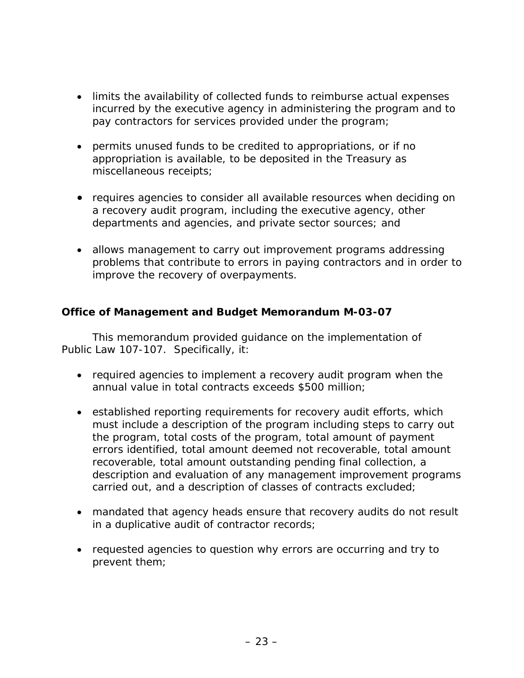- <span id="page-31-0"></span>• limits the availability of collected funds to reimburse actual expenses incurred by the executive agency in administering the program and to pay contractors for services provided under the program;
- permits unused funds to be credited to appropriations, or if no appropriation is available, to be deposited in the Treasury as miscellaneous receipts;
- requires agencies to consider all available resources when deciding on a recovery audit program, including the executive agency, other departments and agencies, and private sector sources; and
- allows management to carry out improvement programs addressing problems that contribute to errors in paying contractors and in order to improve the recovery of overpayments.

#### **Office of Management and Budget Memorandum M-03-07**

This memorandum provided guidance on the implementation of Public Law 107-107. Specifically, it:

- required agencies to implement a recovery audit program when the annual value in total contracts exceeds \$500 million;
- established reporting requirements for recovery audit efforts, which must include a description of the program including steps to carry out the program, total costs of the program, total amount of payment errors identified, total amount deemed not recoverable, total amount recoverable, total amount outstanding pending final collection, a description and evaluation of any management improvement programs carried out, and a description of classes of contracts excluded;
- mandated that agency heads ensure that recovery audits do not result in a duplicative audit of contractor records;
- requested agencies to question why errors are occurring and try to prevent them;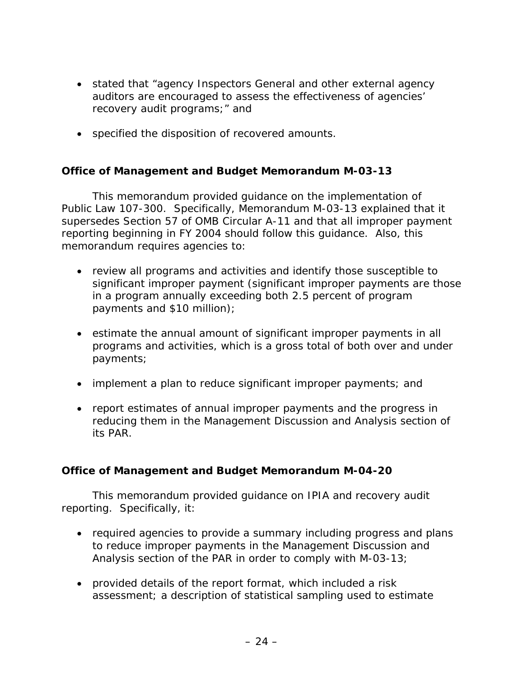- <span id="page-32-0"></span>• stated that "agency Inspectors General and other external agency auditors are encouraged to assess the effectiveness of agencies' recovery audit programs;" and
- specified the disposition of recovered amounts.

#### **Office of Management and Budget Memorandum M-03-13**

This memorandum provided guidance on the implementation of Public Law 107-300. Specifically, Memorandum M-03-13 explained that it supersedes Section 57 of OMB Circular A-11 and that all improper payment reporting beginning in FY 2004 should follow this guidance. Also, this memorandum requires agencies to:

- review all programs and activities and identify those susceptible to significant improper payment (significant improper payments are those in a program annually exceeding both 2.5 percent of program payments and \$10 million);
- estimate the annual amount of significant improper payments in all programs and activities, which is a gross total of both over and under payments;
- implement a plan to reduce significant improper payments; and
- report estimates of annual improper payments and the progress in reducing them in the Management Discussion and Analysis section of its PAR.

#### **Office of Management and Budget Memorandum M-04-20**

This memorandum provided guidance on IPIA and recovery audit reporting. Specifically, it:

- required agencies to provide a summary including progress and plans to reduce improper payments in the Management Discussion and Analysis section of the PAR in order to comply with M-03-13;
- provided details of the report format, which included a risk assessment; a description of statistical sampling used to estimate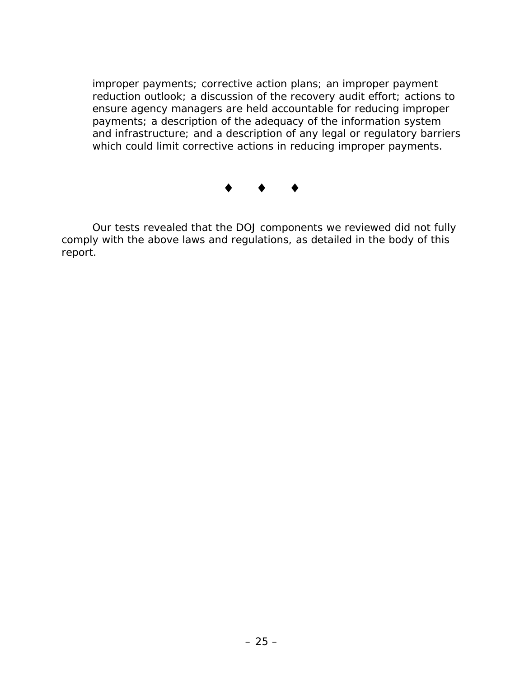improper payments; corrective action plans; an improper payment reduction outlook; a discussion of the recovery audit effort; actions to ensure agency managers are held accountable for reducing improper payments; a description of the adequacy of the information system and infrastructure; and a description of any legal or regulatory barriers which could limit corrective actions in reducing improper payments.

# $\bullet$   $\bullet$   $\bullet$

Our tests revealed that the DOJ components we reviewed did not fully comply with the above laws and regulations, as detailed in the body of this report.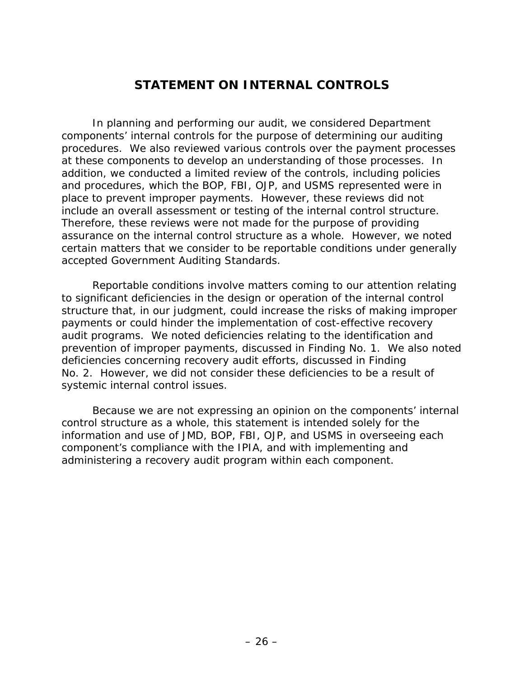### **STATEMENT ON INTERNAL CONTROLS**

<span id="page-34-0"></span>In planning and performing our audit, we considered Department components' internal controls for the purpose of determining our auditing procedures. We also reviewed various controls over the payment processes at these components to develop an understanding of those processes. In addition, we conducted a limited review of the controls, including policies and procedures, which the BOP, FBI, OJP, and USMS represented were in place to prevent improper payments. However, these reviews did not include an overall assessment or testing of the internal control structure. Therefore, these reviews were not made for the purpose of providing assurance on the internal control structure as a whole. However, we noted certain matters that we consider to be reportable conditions under generally accepted *Government Auditing Standards*.

Reportable conditions involve matters coming to our attention relating to significant deficiencies in the design or operation of the internal control structure that, in our judgment, could increase the risks of making improper payments or could hinder the implementation of cost-effective recovery audit programs. We noted deficiencies relating to the identification and prevention of improper payments, discussed in Finding No. 1. We also noted deficiencies concerning recovery audit efforts, discussed in Finding No. 2. However, we did not consider these deficiencies to be a result of systemic internal control issues.

Because we are not expressing an opinion on the components' internal control structure as a whole, this statement is intended solely for the information and use of JMD, BOP, FBI, OJP, and USMS in overseeing each component's compliance with the IPIA, and with implementing and administering a recovery audit program within each component.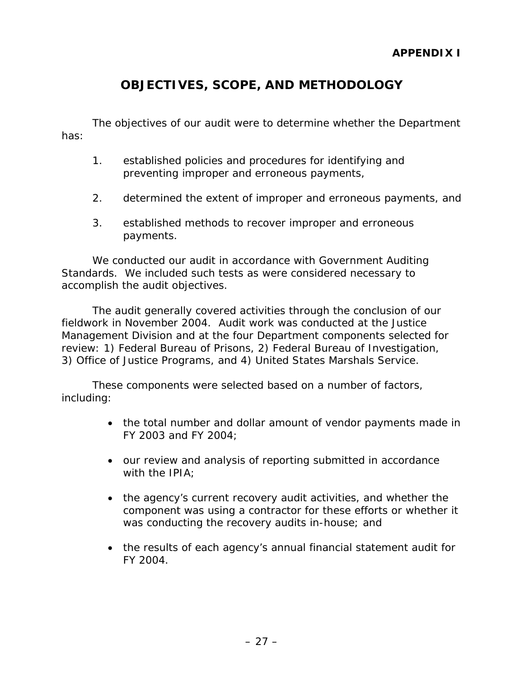# **OBJECTIVES, SCOPE, AND METHODOLOGY**

<span id="page-35-0"></span>The objectives of our audit were to determine whether the Department has:

- 1. established policies and procedures for identifying and preventing improper and erroneous payments,
- 2. determined the extent of improper and erroneous payments, and
- 3. established methods to recover improper and erroneous payments.

We conducted our audit in accordance with *Government Auditing Standards*. We included such tests as were considered necessary to accomplish the audit objectives.

The audit generally covered activities through the conclusion of our fieldwork in November 2004. Audit work was conducted at the Justice Management Division and at the four Department components selected for review: 1) Federal Bureau of Prisons, 2) Federal Bureau of Investigation, 3) Office of Justice Programs, and 4) United States Marshals Service.

These components were selected based on a number of factors, including:

- the total number and dollar amount of vendor payments made in FY 2003 and FY 2004;
- our review and analysis of reporting submitted in accordance with the IPIA;
- the agency's current recovery audit activities, and whether the component was using a contractor for these efforts or whether it was conducting the recovery audits in-house; and
- the results of each agency's annual financial statement audit for FY 2004.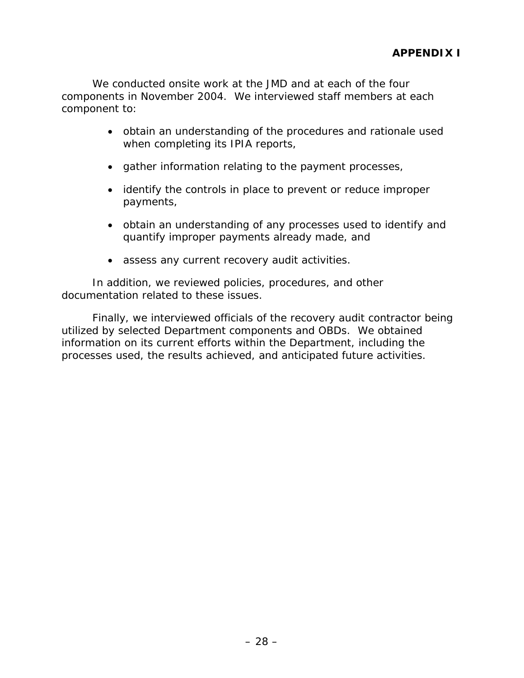We conducted onsite work at the JMD and at each of the four components in November 2004. We interviewed staff members at each component to:

- obtain an understanding of the procedures and rationale used when completing its IPIA reports,
- gather information relating to the payment processes,
- identify the controls in place to prevent or reduce improper payments,
- obtain an understanding of any processes used to identify and quantify improper payments already made, and
- assess any current recovery audit activities.

In addition, we reviewed policies, procedures, and other documentation related to these issues.

Finally, we interviewed officials of the recovery audit contractor being utilized by selected Department components and OBDs. We obtained information on its current efforts within the Department, including the processes used, the results achieved, and anticipated future activities.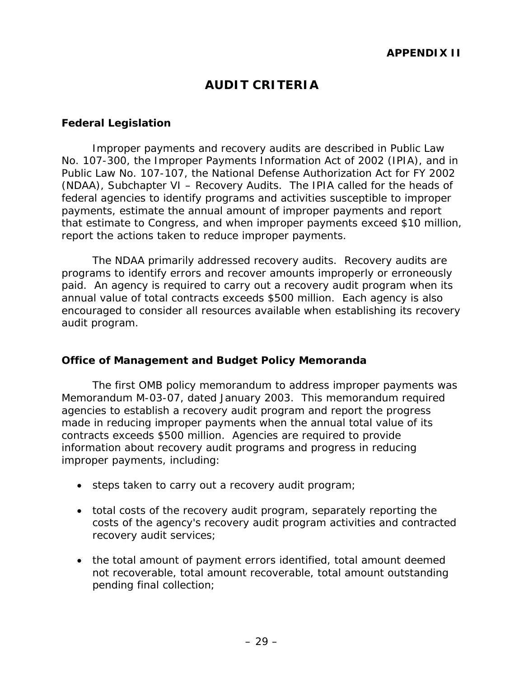# **AUDIT CRITERIA**

#### <span id="page-37-0"></span>**Federal Legislation**

Improper payments and recovery audits are described in Public Law No. 107-300, the *Improper Payments Information Act of 2002* (IPIA), and in Public Law No. 107-107, the *National Defense Authorization Act for FY 2002*  (NDAA), Subchapter VI – Recovery Audits. The IPIA called for the heads of federal agencies to identify programs and activities susceptible to improper payments, estimate the annual amount of improper payments and report that estimate to Congress, and when improper payments exceed \$10 million, report the actions taken to reduce improper payments.

The NDAA primarily addressed recovery audits. Recovery audits are programs to identify errors and recover amounts improperly or erroneously paid. An agency is required to carry out a recovery audit program when its annual value of total contracts exceeds \$500 million. Each agency is also encouraged to consider all resources available when establishing its recovery audit program.

#### **Office of Management and Budget Policy Memoranda**

The first OMB policy memorandum to address improper payments was Memorandum M-03-07, dated January 2003. This memorandum required agencies to establish a recovery audit program and report the progress made in reducing improper payments when the annual total value of its contracts exceeds \$500 million. Agencies are required to provide information about recovery audit programs and progress in reducing improper payments, including:

- steps taken to carry out a recovery audit program;
- total costs of the recovery audit program, separately reporting the costs of the agency's recovery audit program activities and contracted recovery audit services;
- the total amount of payment errors identified, total amount deemed not recoverable, total amount recoverable, total amount outstanding pending final collection;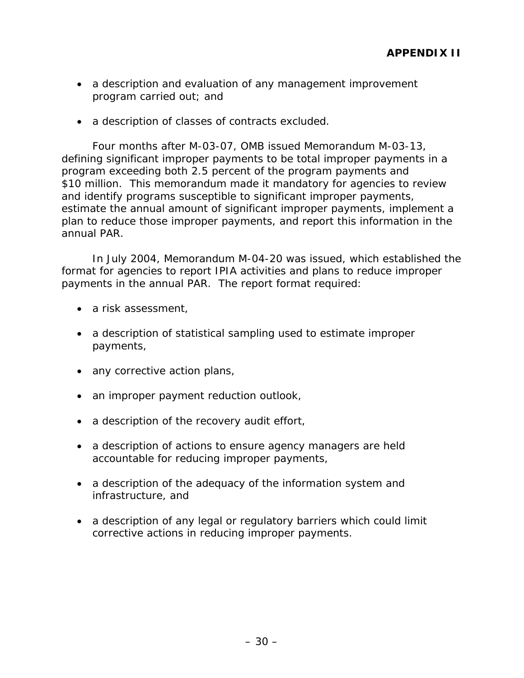- a description and evaluation of any management improvement program carried out; and
- a description of classes of contracts excluded.

Four months after M-03-07, OMB issued Memorandum M-03-13, defining significant improper payments to be total improper payments in a program exceeding both 2.5 percent of the program payments and \$10 million. This memorandum made it mandatory for agencies to review and identify programs susceptible to significant improper payments, estimate the annual amount of significant improper payments, implement a plan to reduce those improper payments, and report this information in the annual PAR.

In July 2004, Memorandum M-04-20 was issued, which established the format for agencies to report IPIA activities and plans to reduce improper payments in the annual PAR. The report format required:

- a risk assessment,
- a description of statistical sampling used to estimate improper payments,
- any corrective action plans,
- an improper payment reduction outlook,
- a description of the recovery audit effort,
- a description of actions to ensure agency managers are held accountable for reducing improper payments,
- a description of the adequacy of the information system and infrastructure, and
- a description of any legal or regulatory barriers which could limit corrective actions in reducing improper payments.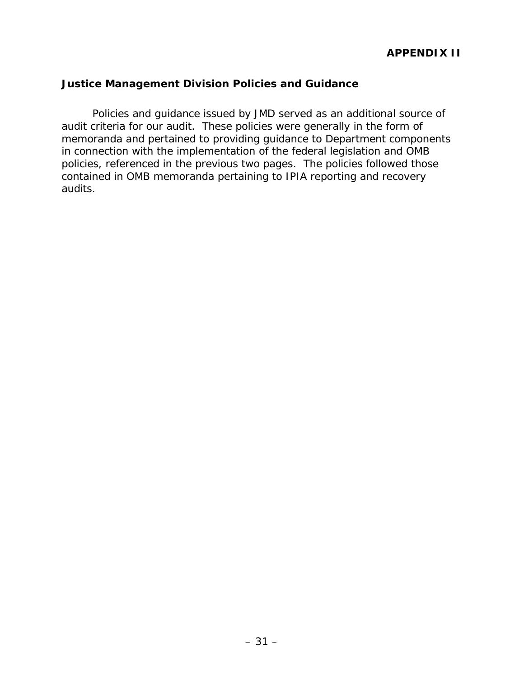#### <span id="page-39-0"></span>**Justice Management Division Policies and Guidance**

Policies and guidance issued by JMD served as an additional source of audit criteria for our audit. These policies were generally in the form of memoranda and pertained to providing guidance to Department components in connection with the implementation of the federal legislation and OMB policies, referenced in the previous two pages. The policies followed those contained in OMB memoranda pertaining to IPIA reporting and recovery audits.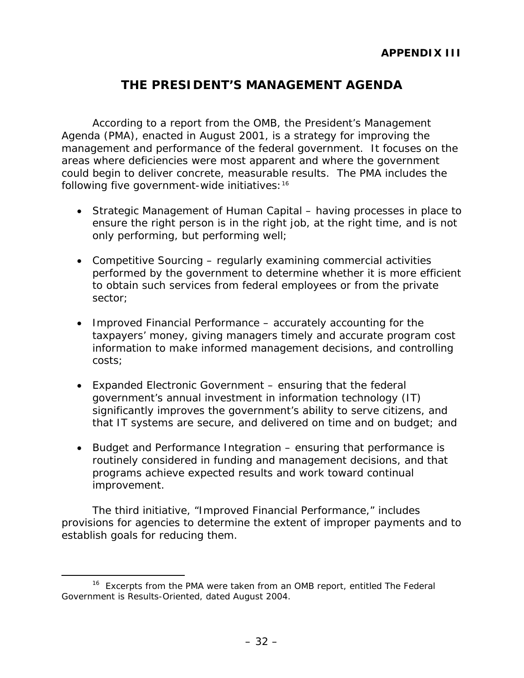# **THE PRESIDENT'S MANAGEMENT AGENDA**

<span id="page-40-0"></span>According to a report from the OMB, the President's Management Agenda (PMA), enacted in August 2001, is a strategy for improving the management and performance of the federal government. It focuses on the areas where deficiencies were most apparent and where the government could begin to deliver concrete, measurable results. The PMA includes the following five government-wide initiatives[:16](#page-40-1)

- *Strategic Management of Human Capital* having processes in place to ensure the right person is in the right job, at the right time, and is not only performing, but performing well;
- *Competitive Sourcing* regularly examining commercial activities performed by the government to determine whether it is more efficient to obtain such services from federal employees or from the private sector;
- *Improved Financial Performance* accurately accounting for the taxpayers' money, giving managers timely and accurate program cost information to make informed management decisions, and controlling costs;
- *Expanded Electronic Government* ensuring that the federal government's annual investment in information technology (IT) significantly improves the government's ability to serve citizens, and that IT systems are secure, and delivered on time and on budget; and
- *Budget and Performance Integration* ensuring that performance is routinely considered in funding and management decisions, and that programs achieve expected results and work toward continual improvement.

The third initiative, "Improved Financial Performance," includes provisions for agencies to determine the extent of improper payments and to establish goals for reducing them.

<span id="page-40-1"></span> <sup>16</sup> Excerpts from the PMA were taken from an OMB report, entitled *The Federal Government is Results-Oriented*, dated August 2004.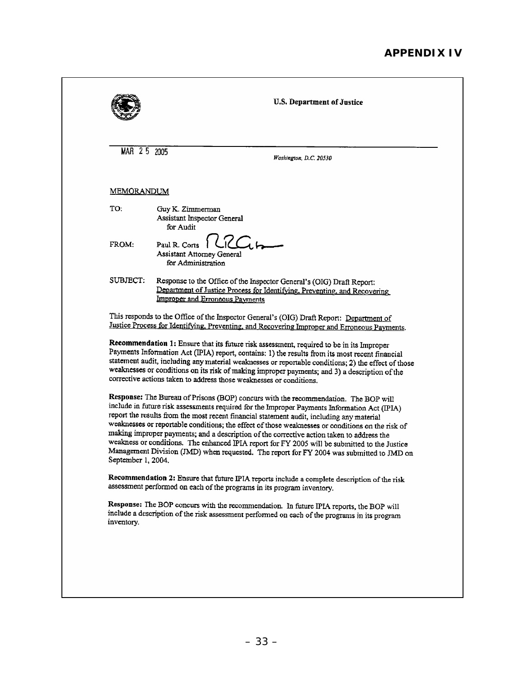|                    | MAR 2 5 2005<br>Washington, D.C. 20530                                                                                                                                                                                                                                                                                                                                                                                                                                                                                                                                                                                                                                         |
|--------------------|--------------------------------------------------------------------------------------------------------------------------------------------------------------------------------------------------------------------------------------------------------------------------------------------------------------------------------------------------------------------------------------------------------------------------------------------------------------------------------------------------------------------------------------------------------------------------------------------------------------------------------------------------------------------------------|
| MEMORANDUM         |                                                                                                                                                                                                                                                                                                                                                                                                                                                                                                                                                                                                                                                                                |
| TO:                | Guy K. Zimmerman<br>Assistant Inspector General<br>for Audit                                                                                                                                                                                                                                                                                                                                                                                                                                                                                                                                                                                                                   |
| FROM:              | Paul R. Corts<br>Assistant Attorney General<br>for Administration                                                                                                                                                                                                                                                                                                                                                                                                                                                                                                                                                                                                              |
| SUBJECT:           | Response to the Office of the Inspector General's (OIG) Draft Report:<br>Department of Justice Process for Identifying, Preventing, and Recovering<br><b>Improper and Erroneous Payments</b>                                                                                                                                                                                                                                                                                                                                                                                                                                                                                   |
|                    | This responds to the Office of the Inspector General's (OIG) Draft Report: Department of<br>Justice Process for Identifying, Preventing, and Recovering Improper and Erroneous Payments.                                                                                                                                                                                                                                                                                                                                                                                                                                                                                       |
|                    | Recommendation 1: Ensure that its future risk assessment, required to be in its Improper<br>Payments Information Act (IPIA) report, contains: 1) the results from its most recent financial<br>statement audit, including any material weaknesses or reportable conditions; 2) the effect of those                                                                                                                                                                                                                                                                                                                                                                             |
|                    | weaknesses or conditions on its risk of making improper payments; and 3) a description of the<br>corrective actions taken to address those weaknesses or conditions.                                                                                                                                                                                                                                                                                                                                                                                                                                                                                                           |
| September 1, 2004. | Response: The Bureau of Prisons (BOP) concurs with the recommendation. The BOP will<br>include in future risk assessments required for the Improper Payments Information Act (IPIA)<br>report the results from the most recent financial statement audit, including any material<br>weaknesses or reportable conditions; the effect of those weaknesses or conditions on the risk of<br>making improper payments; and a description of the corrective action taken to address the<br>weakness or conditions. The enhanced IPIA report for FY 2005 will be submitted to the Justice<br>Management Division (JMD) when requested. The report for FY 2004 was submitted to JMD on |
|                    | Recommendation 2: Ensure that future IPIA reports include a complete description of the risk<br>assessment performed on each of the programs in its program inventory.                                                                                                                                                                                                                                                                                                                                                                                                                                                                                                         |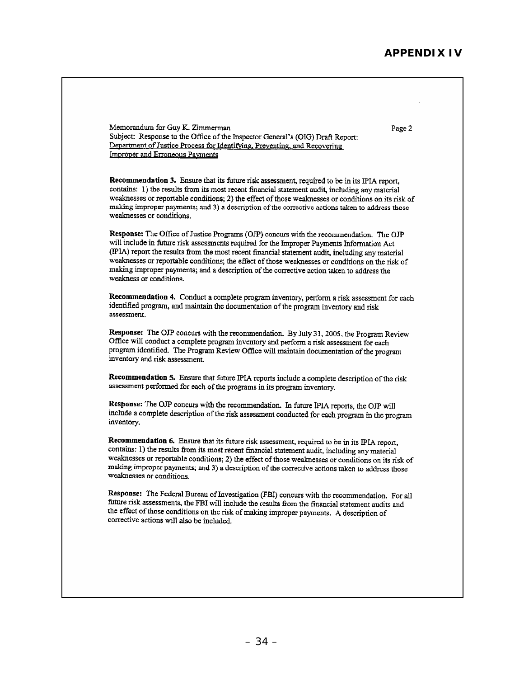Page 2

Memorandum for Guy K. Zimmerman Subject: Response to the Office of the Inspector General's (OIG) Draft Report: Department of Justice Process for Identifying, Preventing, and Recovering **Improper and Erroneous Payments** 

Recommendation 3. Ensure that its future risk assessment, required to be in its IPIA report, contains: 1) the results from its most recent financial statement audit, including any material weaknesses or reportable conditions; 2) the effect of those weaknesses or conditions on its risk of making improper payments; and 3) a description of the corrective actions taken to address those weaknesses or conditions.

Response: The Office of Justice Programs (OJP) concurs with the recommendation. The OJP will include in future risk assessments required for the Improper Payments Information Act (IPIA) report the results from the most recent financial statement audit, including any material weaknesses or reportable conditions; the effect of those weaknesses or conditions on the risk of making improper payments; and a description of the corrective action taken to address the weakness or conditions.

Recommendation 4. Conduct a complete program inventory, perform a risk assessment for each identified program, and maintain the documentation of the program inventory and risk assessment.

Response: The OJP concurs with the recommendation. By July 31, 2005, the Program Review Office will conduct a complete program inventory and perform a risk assessment for each program identified. The Program Review Office will maintain documentation of the program inventory and risk assessment.

Recommendation 5. Ensure that future IPIA reports include a complete description of the risk assessment performed for each of the programs in its program inventory.

Response: The OJP concurs with the recommendation. In future IPIA reports, the OJP will include a complete description of the risk assessment conducted for each program in the program inventory.

Recommendation 6. Ensure that its future risk assessment, required to be in its IPIA report, contains: 1) the results from its most recent financial statement audit, including any material weaknesses or reportable conditions; 2) the effect of those weaknesses or conditions on its risk of making improper payments; and 3) a description of the corrective actions taken to address those weaknesses or conditions.

Response: The Federal Bureau of Investigation (FBI) concurs with the recommendation. For all future risk assessments, the FBI will include the results from the financial statement audits and the effect of those conditions on the risk of making improper payments. A description of corrective actions will also be included.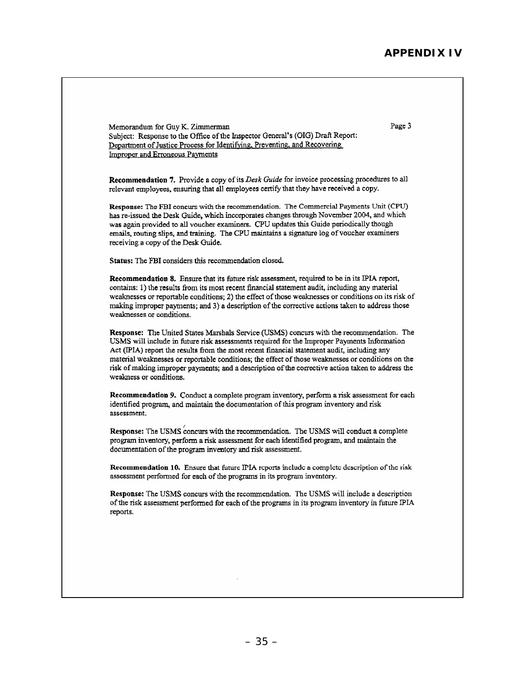Memorandum for Guy K. Zimmerman Page 3 Subject: Response to the Office of the Inspector General's (OIG) Draft Report: Department of Justice Process for Identifying, Preventing, and Recovering **Improper and Erroneous Payments** Recommendation 7. Provide a copy of its Desk Guide for invoice processing procedures to all relevant employees, ensuring that all employees certify that they have received a copy. Response: The FBI concurs with the recommendation. The Commercial Payments Unit (CPU) has re-issued the Desk Guide, which incorporates changes through November 2004, and which was again provided to all voucher examiners. CPU updates this Guide periodically though emails, routing slips, and training. The CPU maintains a signature log of voucher examiners receiving a copy of the Desk Guide. Status: The FBI considers this recommendation closed. Recommendation 8. Ensure that its future risk assessment, required to be in its IPIA report, contains: 1) the results from its most recent financial statement audit, including any material weaknesses or reportable conditions; 2) the effect of those weaknesses or conditions on its risk of making improper payments; and 3) a description of the corrective actions taken to address those weaknesses or conditions. Response: The United States Marshals Service (USMS) concurs with the recommendation. The USMS will include in future risk assessments required for the Improper Payments Information Act (IPIA) report the results from the most recent financial statement audit, including any material weaknesses or reportable conditions; the effect of those weaknesses or conditions on the risk of making improper payments; and a description of the corrective action taken to address the weakness or conditions. Recommendation 9. Conduct a complete program inventory, perform a risk assessment for each identified program, and maintain the documentation of this program inventory and risk assessment. Response: The USMS concurs with the recommendation. The USMS will conduct a complete program inventory, perform a risk assessment for each identified program, and maintain the documentation of the program inventory and risk assessment. Recommendation 10. Ensure that future IPIA reports include a complete description of the risk assessment performed for each of the programs in its program inventory. Response: The USMS concurs with the recommendation. The USMS will include a description of the risk assessment performed for each of the programs in its program inventory in future IPIA reports.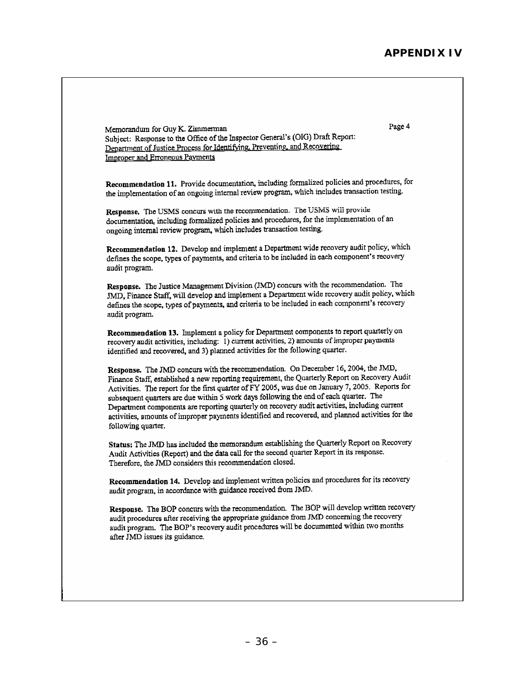Page 4 Memorandum for Guy K. Zimmerman Subject: Response to the Office of the Inspector General's (OIG) Draft Report: Department of Justice Process for Identifying, Preventing, and Recovering **Improper and Erroneous Payments** Recommendation 11. Provide documentation, including formalized policies and procedures, for the implementation of an ongoing internal review program, which includes transaction testing. Response. The USMS concurs with the recommendation. The USMS will provide documentation, including formalized policies and procedures, for the implementation of an ongoing internal review program, which includes transaction testing. Recommendation 12. Develop and implement a Department wide recovery audit policy, which defines the scope, types of payments, and criteria to be included in each component's recovery audit program. Response. The Justice Management Division (JMD) concurs with the recommendation. The JMD, Finance Staff, will develop and implement a Department wide recovery audit policy, which defines the scope, types of payments, and criteria to be included in each component's recovery audit program. Recommendation 13. Implement a policy for Department components to report quarterly on recovery audit activities, including: 1) current activities, 2) amounts of improper payments identified and recovered, and 3) planned activities for the following quarter. Response. The JMD concurs with the recommendation. On December 16, 2004, the JMD, Finance Staff, established a new reporting requirement, the Quarterly Report on Recovery Audit Activities. The report for the first quarter of FY 2005, was due on January 7, 2005. Reports for subsequent quarters are due within 5 work days following the end of each quarter. The Department components are reporting quarterly on recovery audit activities, including current activities, amounts of improper payments identified and recovered, and planned activities for the following quarter. Status: The JMD has included the memorandum establishing the Quarterly Report on Recovery Audit Activities (Report) and the data call for the second quarter Report in its response. Therefore, the JMD considers this recommendation closed. Recommendation 14. Develop and implement written policies and procedures for its recovery audit program, in accordance with guidance received from JMD. Response. The BOP concurs with the recommendation. The BOP will develop written recovery audit procedures after receiving the appropriate guidance from JMD concerning the recovery audit program. The BOP's recovery audit procedures will be documented within two months after JMD issues its guidance.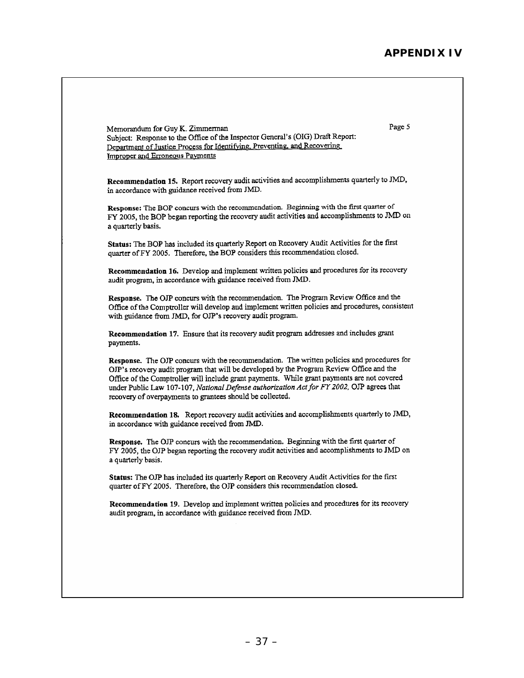Page 5 Memorandum for Guy K. Zimmerman Subject: Response to the Office of the Inspector General's (OIG) Draft Report: Department of Justice Process for Identifying, Preventing, and Recovering Improper and Erroneous Payments Recommendation 15. Report recovery audit activities and accomplishments quarterly to JMD, in accordance with guidance received from JMD. Response: The BOP concurs with the recommendation. Beginning with the first quarter of FY 2005, the BOP began reporting the recovery audit activities and accomplishments to JMD on a quarterly basis. Status: The BOP has included its quarterly Report on Recovery Audit Activities for the first quarter of FY 2005. Therefore, the BOP considers this recommendation closed. Recommendation 16. Develop and implement written policies and procedures for its recovery audit program, in accordance with guidance received from JMD. Response. The OJP concurs with the recommendation. The Program Review Office and the Office of the Comptroller will develop and implement written policies and procedures, consistent with guidance from JMD, for OJP's recovery audit program. Recommendation 17. Ensure that its recovery audit program addresses and includes grant payments. Response. The OJP concurs with the recommendation. The written policies and procedures for OIP's recovery audit program that will be developed by the Program Review Office and the Office of the Comptroller will include grant payments. While grant payments are not covered under Public Law 107-107, National Defense authorization Act for FY 2002, OJP agrees that recovery of overpayments to grantees should be collected. Recommendation 18. Report recovery audit activities and accomplishments quarterly to JMD, in accordance with guidance received from JMD. Response. The OJP concurs with the recommendation. Beginning with the first quarter of FY 2005, the OJP began reporting the recovery audit activities and accomplishments to JMD on a quarterly basis. Status: The OJP has included its quarterly Report on Recovery Audit Activities for the first quarter of FY 2005. Therefore, the OJP considers this recommendation closed. Recommendation 19. Develop and implement written policies and procedures for its recovery audit program, in accordance with guidance received from JMD.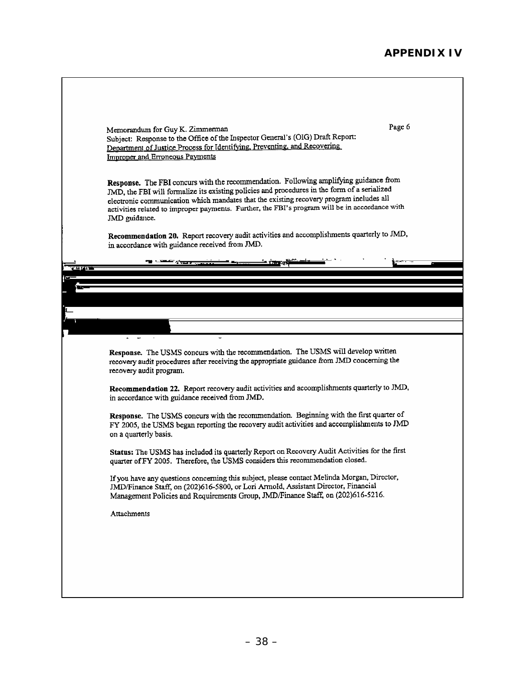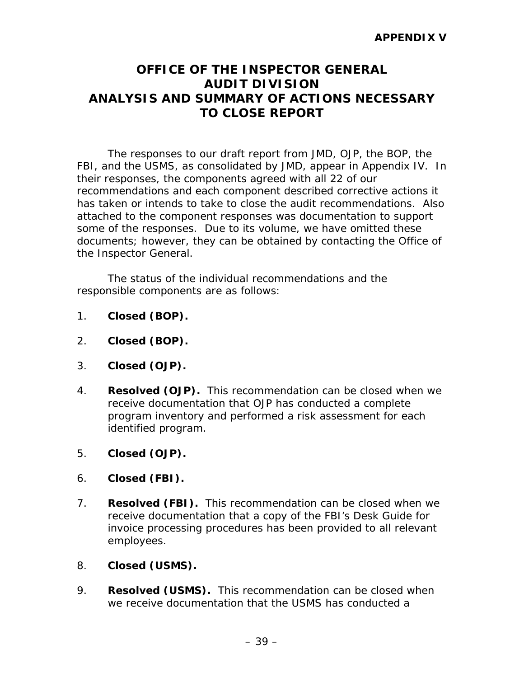# **OFFICE OF THE INSPECTOR GENERAL AUDIT DIVISION ANALYSIS AND SUMMARY OF ACTIONS NECESSARY TO CLOSE REPORT**

The responses to our draft report from JMD, OJP, the BOP, the FBI, and the USMS, as consolidated by JMD, appear in Appendix IV. In their responses, the components agreed with all 22 of our recommendations and each component described corrective actions it has taken or intends to take to close the audit recommendations. Also attached to the component responses was documentation to support some of the responses. Due to its volume, we have omitted these documents; however, they can be obtained by contacting the Office of the Inspector General.

The status of the individual recommendations and the responsible components are as follows:

- 1. **Closed (BOP).**
- 2. **Closed (BOP).**
- 3. **Closed (OJP).**
- 4. **Resolved (OJP).** This recommendation can be closed when we receive documentation that OJP has conducted a complete program inventory and performed a risk assessment for each identified program.
- 5. **Closed (OJP).**
- 6. **Closed (FBI).**
- 7. **Resolved (FBI).** This recommendation can be closed when we receive documentation that a copy of the FBI's *Desk Guide* for invoice processing procedures has been provided to all relevant employees.
- 8. **Closed (USMS).**
- 9. **Resolved (USMS).** This recommendation can be closed when we receive documentation that the USMS has conducted a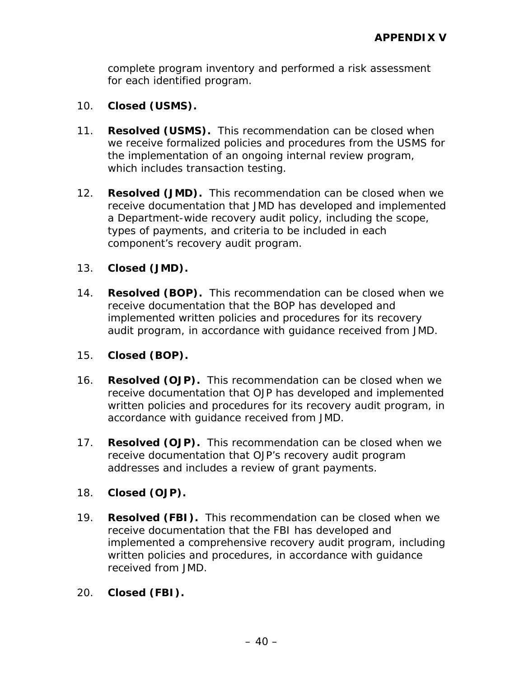complete program inventory and performed a risk assessment for each identified program.

- 10. **Closed (USMS).**
- 11. **Resolved (USMS).** This recommendation can be closed when we receive formalized policies and procedures from the USMS for the implementation of an ongoing internal review program, which includes transaction testing.
- 12. **Resolved (JMD).** This recommendation can be closed when we receive documentation that JMD has developed and implemented a Department-wide recovery audit policy, including the scope, types of payments, and criteria to be included in each component's recovery audit program.

#### 13. **Closed (JMD).**

14. **Resolved (BOP).** This recommendation can be closed when we receive documentation that the BOP has developed and implemented written policies and procedures for its recovery audit program, in accordance with guidance received from JMD.

#### 15. **Closed (BOP).**

- 16. **Resolved (OJP).** This recommendation can be closed when we receive documentation that OJP has developed and implemented written policies and procedures for its recovery audit program, in accordance with guidance received from JMD.
- 17. **Resolved (OJP).** This recommendation can be closed when we receive documentation that OJP's recovery audit program addresses and includes a review of grant payments.

### 18. **Closed (OJP).**

- 19. **Resolved (FBI).** This recommendation can be closed when we receive documentation that the FBI has developed and implemented a comprehensive recovery audit program, including written policies and procedures, in accordance with guidance received from JMD.
- 20. **Closed (FBI).**